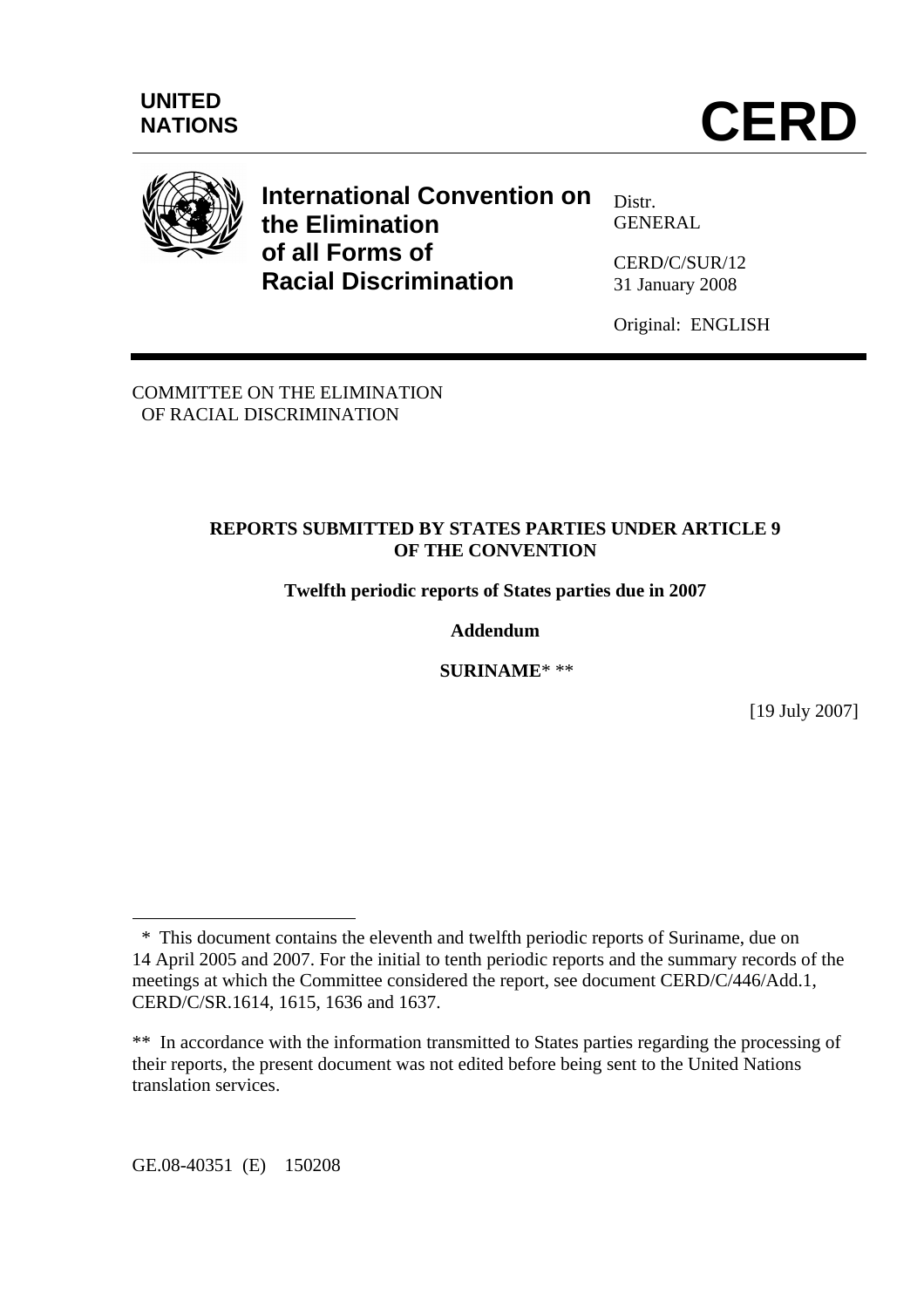

# **International Convention on the Elimination of all Forms of Racial Discrimination**

Distr. **GENERAL** 

CERD/C/SUR/12 31 January 2008

Original: ENGLISH

COMMITTEE ON THE ELIMINATION OF RACIAL DISCRIMINATION

## **REPORTS SUBMITTED BY STATES PARTIES UNDER ARTICLE 9 OF THE CONVENTION**

**Twelfth periodic reports of States parties due in 2007** 

## **Addendum**

 **SURINAME**\* \*\*

[19 July 2007]

GE.08-40351 (E) 150208

 $\overline{a}$ 

 <sup>\*</sup> This document contains the eleventh and twelfth periodic reports of Suriname, due on 14 April 2005 and 2007. For the initial to tenth periodic reports and the summary records of the meetings at which the Committee considered the report, see document CERD/C/446/Add.1, CERD/C/SR.1614, 1615, 1636 and 1637.

<sup>\*\*</sup> In accordance with the information transmitted to States parties regarding the processing of their reports, the present document was not edited before being sent to the United Nations translation services.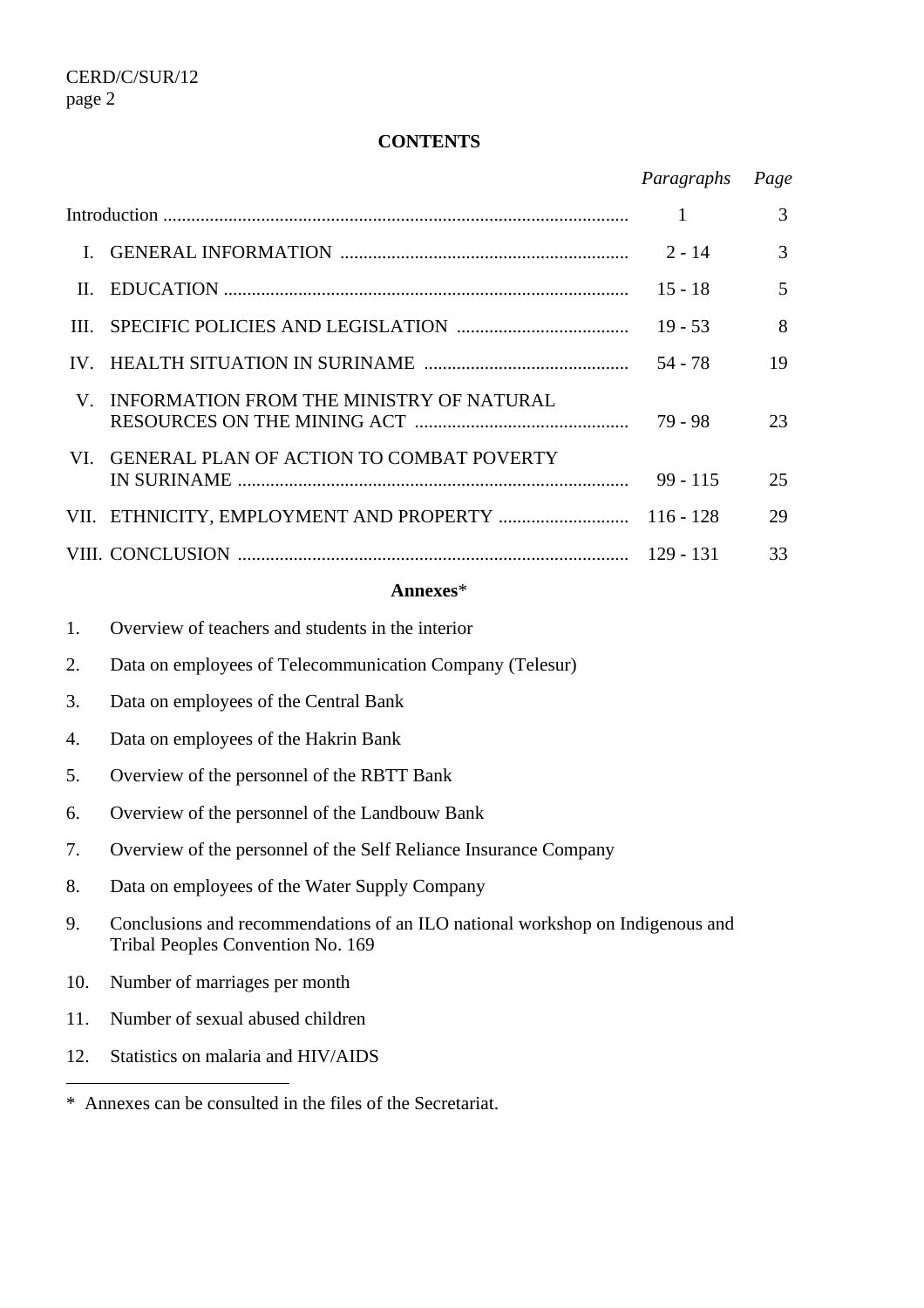#### **CONTENTS**

|                |                                                          | Paragraphs  | Page |  |  |  |
|----------------|----------------------------------------------------------|-------------|------|--|--|--|
|                |                                                          | 1           | 3    |  |  |  |
| $\mathbf{I}$ . |                                                          | $2 - 14$    | 3    |  |  |  |
| II.            |                                                          | $15 - 18$   | 5    |  |  |  |
| Ш.             |                                                          | $19 - 53$   | 8    |  |  |  |
| IV.            |                                                          | $54 - 78$   | 19   |  |  |  |
| V.             | INFORMATION FROM THE MINISTRY OF NATURAL                 | $79 - 98$   | 23   |  |  |  |
| VI.            | GENERAL PLAN OF ACTION TO COMBAT POVERTY                 | $99 - 115$  | 25   |  |  |  |
|                |                                                          | $116 - 128$ | 29   |  |  |  |
|                |                                                          |             | 33   |  |  |  |
| Annexes*       |                                                          |             |      |  |  |  |
| 1.             | Overview of teachers and students in the interior        |             |      |  |  |  |
| 2.             | Data on employees of Telecommunication Company (Telesur) |             |      |  |  |  |
| 3.             | Data on employees of the Central Bank                    |             |      |  |  |  |
| 4.             | Data on employees of the Hakrin Bank                     |             |      |  |  |  |
| 5.             | Overview of the personnel of the RBTT Bank               |             |      |  |  |  |

- 6. Overview of the personnel of the Landbouw Bank
- 7. Overview of the personnel of the Self Reliance Insurance Company
- 8. Data on employees of the Water Supply Company
- 9. Conclusions and recommendations of an ILO national workshop on Indigenous and Tribal Peoples Convention No. 169
- 10. Number of marriages per month
- 11. Number of sexual abused children
- 12. Statistics on malaria and HIV/AIDS

 $\overline{a}$ 

<sup>\*</sup> Annexes can be consulted in the files of the Secretariat.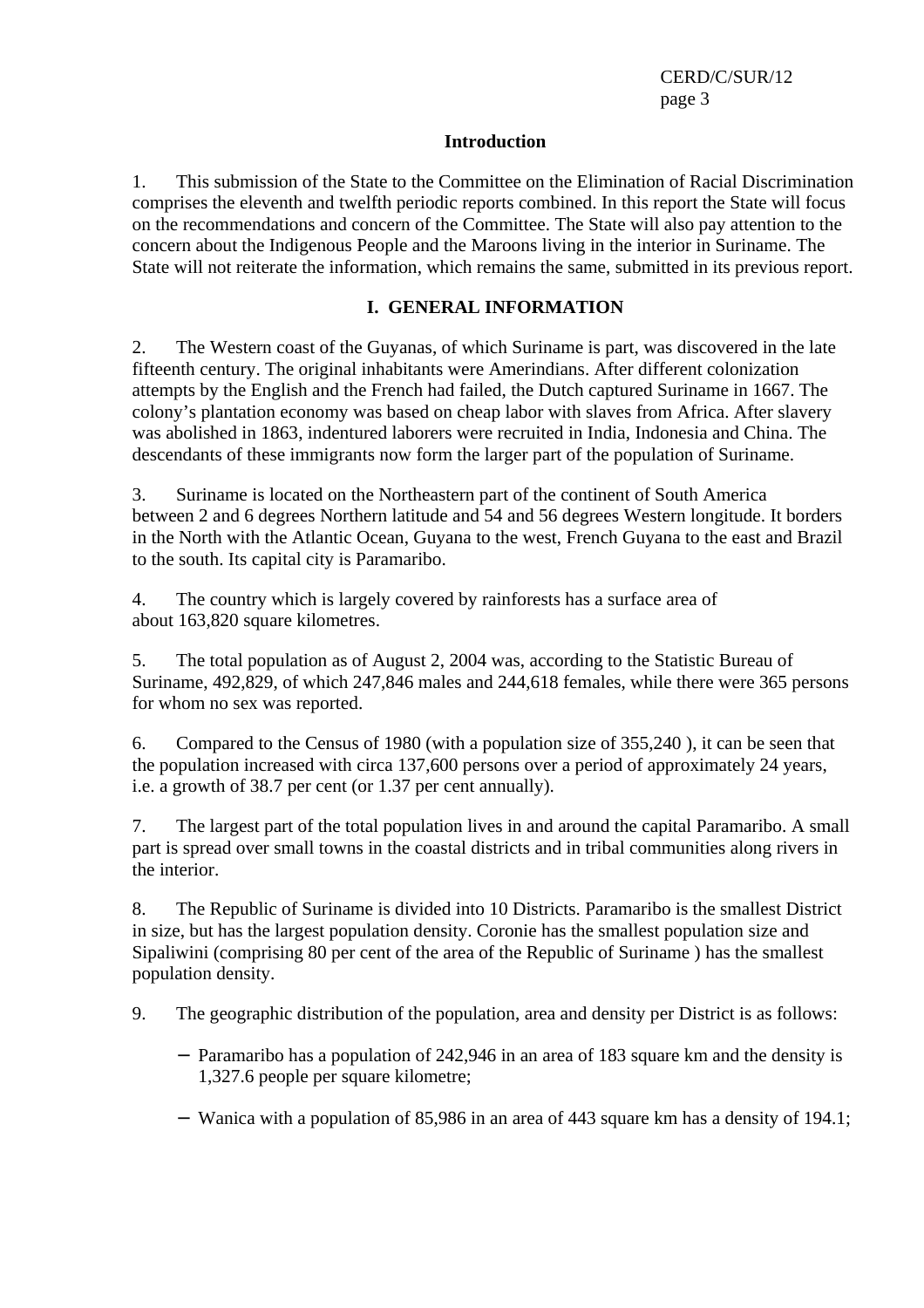#### **Introduction**

1. This submission of the State to the Committee on the Elimination of Racial Discrimination comprises the eleventh and twelfth periodic reports combined. In this report the State will focus on the recommendations and concern of the Committee. The State will also pay attention to the concern about the Indigenous People and the Maroons living in the interior in Suriname. The State will not reiterate the information, which remains the same, submitted in its previous report.

#### **I. GENERAL INFORMATION**

2. The Western coast of the Guyanas, of which Suriname is part, was discovered in the late fifteenth century. The original inhabitants were Amerindians. After different colonization attempts by the English and the French had failed, the Dutch captured Suriname in 1667. The colony's plantation economy was based on cheap labor with slaves from Africa. After slavery was abolished in 1863, indentured laborers were recruited in India, Indonesia and China. The descendants of these immigrants now form the larger part of the population of Suriname.

3. Suriname is located on the Northeastern part of the continent of South America between 2 and 6 degrees Northern latitude and 54 and 56 degrees Western longitude. It borders in the North with the Atlantic Ocean, Guyana to the west, French Guyana to the east and Brazil to the south. Its capital city is Paramaribo.

4. The country which is largely covered by rainforests has a surface area of about 163,820 square kilometres.

5. The total population as of August 2, 2004 was, according to the Statistic Bureau of Suriname, 492,829, of which 247,846 males and 244,618 females, while there were 365 persons for whom no sex was reported.

6. Compared to the Census of 1980 (with a population size of 355,240 ), it can be seen that the population increased with circa 137,600 persons over a period of approximately 24 years, i.e. a growth of 38.7 per cent (or 1.37 per cent annually).

7. The largest part of the total population lives in and around the capital Paramaribo. A small part is spread over small towns in the coastal districts and in tribal communities along rivers in the interior.

8. The Republic of Suriname is divided into 10 Districts. Paramaribo is the smallest District in size, but has the largest population density. Coronie has the smallest population size and Sipaliwini (comprising 80 per cent of the area of the Republic of Suriname ) has the smallest population density.

9. The geographic distribution of the population, area and density per District is as follows:

- − Paramaribo has a population of 242,946 in an area of 183 square km and the density is 1,327.6 people per square kilometre;
- − Wanica with a population of 85,986 in an area of 443 square km has a density of 194.1;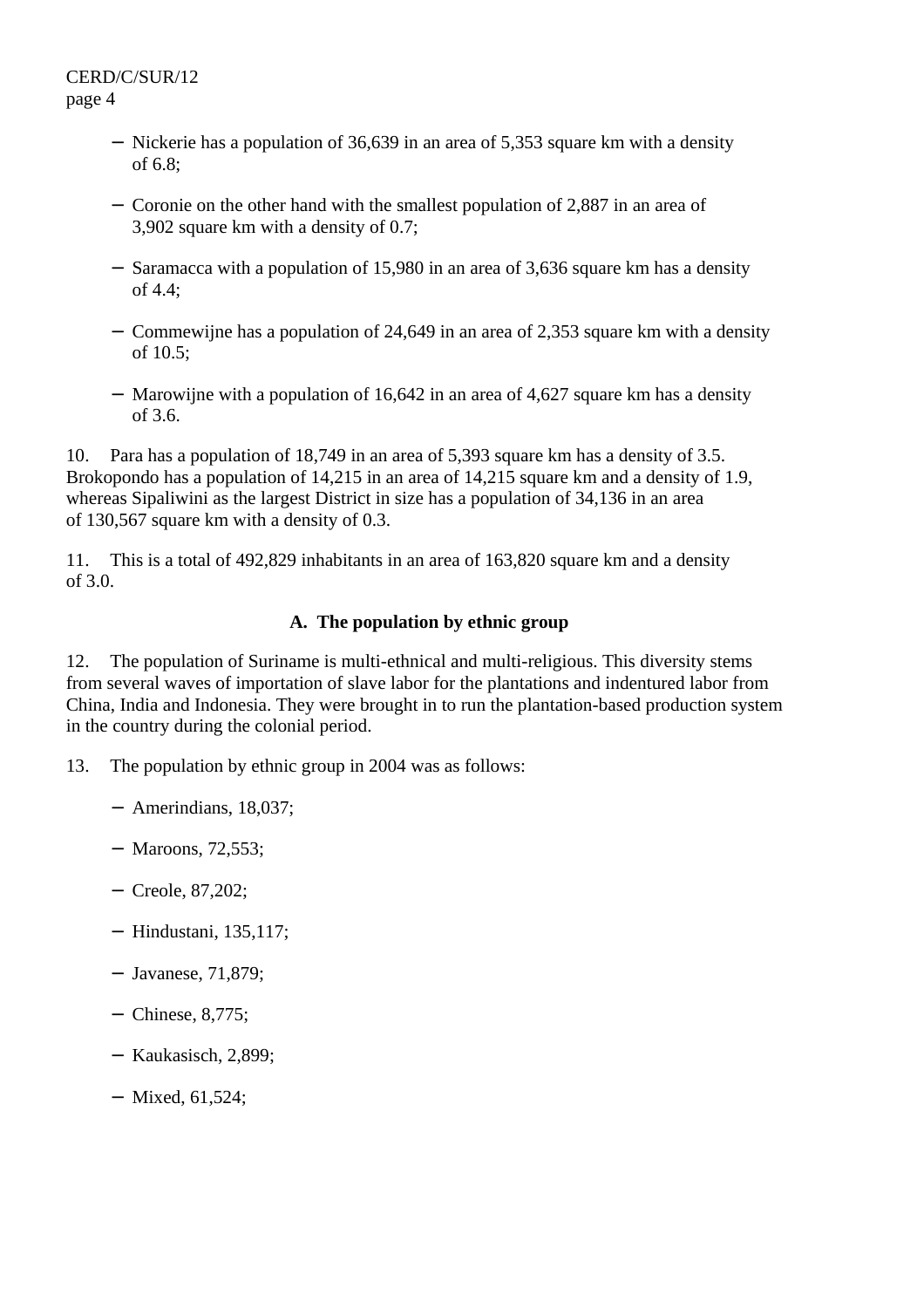- − Nickerie has a population of 36,639 in an area of 5,353 square km with a density of 6.8;
- − Coronie on the other hand with the smallest population of 2,887 in an area of 3,902 square km with a density of 0.7;
- − Saramacca with a population of 15,980 in an area of 3,636 square km has a density of 4.4;
- − Commewijne has a population of 24,649 in an area of 2,353 square km with a density of 10.5;
- − Marowijne with a population of 16,642 in an area of 4,627 square km has a density of 3.6.

10. Para has a population of 18,749 in an area of 5,393 square km has a density of 3.5. Brokopondo has a population of 14,215 in an area of 14,215 square km and a density of 1.9, whereas Sipaliwini as the largest District in size has a population of 34,136 in an area of 130,567 square km with a density of 0.3.

11. This is a total of 492,829 inhabitants in an area of 163,820 square km and a density of 3.0.

## **A. The population by ethnic group**

12. The population of Suriname is multi-ethnical and multi-religious. This diversity stems from several waves of importation of slave labor for the plantations and indentured labor from China, India and Indonesia. They were brought in to run the plantation-based production system in the country during the colonial period.

13. The population by ethnic group in 2004 was as follows:

- − Amerindians, 18,037;
- − Maroons, 72,553;
- − Creole, 87,202;
- − Hindustani, 135,117;
- − Javanese, 71,879;
- − Chinese, 8,775;
- − Kaukasisch, 2,899;
- − Mixed, 61,524;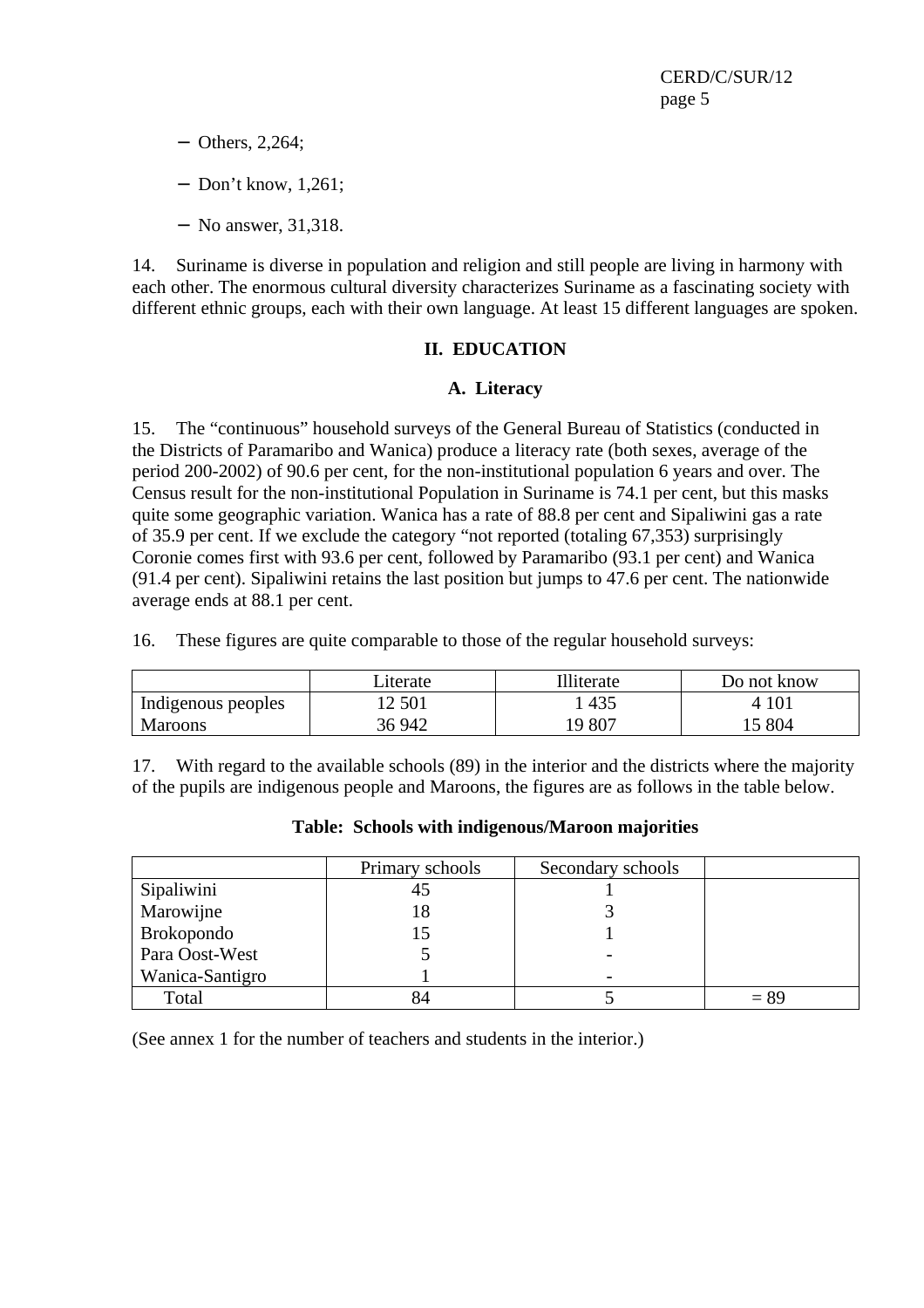- − Others, 2,264;
- − Don't know, 1,261;
- − No answer, 31,318.

14. Suriname is diverse in population and religion and still people are living in harmony with each other. The enormous cultural diversity characterizes Suriname as a fascinating society with different ethnic groups, each with their own language. At least 15 different languages are spoken.

## **II. EDUCATION**

## **A. Literacy**

15. The "continuous" household surveys of the General Bureau of Statistics (conducted in the Districts of Paramaribo and Wanica) produce a literacy rate (both sexes, average of the period 200-2002) of 90.6 per cent, for the non-institutional population 6 years and over. The Census result for the non-institutional Population in Suriname is 74.1 per cent, but this masks quite some geographic variation. Wanica has a rate of 88.8 per cent and Sipaliwini gas a rate of 35.9 per cent. If we exclude the category "not reported (totaling 67,353) surprisingly Coronie comes first with 93.6 per cent, followed by Paramaribo (93.1 per cent) and Wanica (91.4 per cent). Sipaliwini retains the last position but jumps to 47.6 per cent. The nationwide average ends at 88.1 per cent.

16. These figures are quite comparable to those of the regular household surveys:

|                    | Literate | Illiterate | Do not know |
|--------------------|----------|------------|-------------|
| Indigenous peoples | 12 501   | 435        | 4 10 1      |
| <b>Maroons</b>     | 36 942   | 19 807     | 15 804      |

17. With regard to the available schools (89) in the interior and the districts where the majority of the pupils are indigenous people and Maroons, the figures are as follows in the table below.

|                   | Primary schools | Secondary schools |        |
|-------------------|-----------------|-------------------|--------|
| Sipaliwini        | 45              |                   |        |
| Marowijne         | 18              |                   |        |
| <b>Brokopondo</b> |                 |                   |        |
| Para Oost-West    |                 |                   |        |
| Wanica-Santigro   |                 |                   |        |
| Total             |                 |                   | $= 89$ |

## **Table: Schools with indigenous/Maroon majorities**

(See annex 1 for the number of teachers and students in the interior.)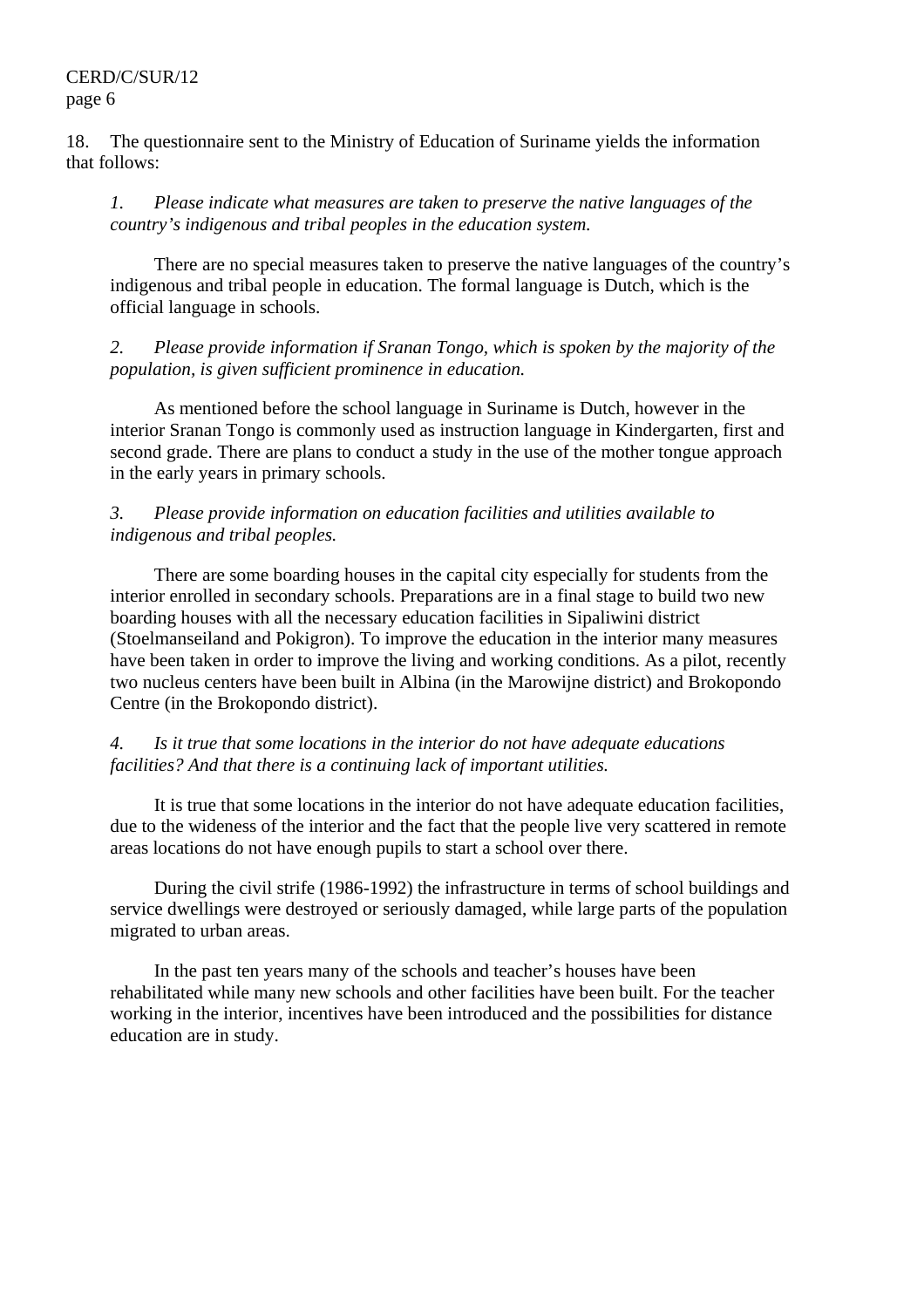18. The questionnaire sent to the Ministry of Education of Suriname yields the information that follows:

*1. Please indicate what measures are taken to preserve the native languages of the country's indigenous and tribal peoples in the education system.* 

 There are no special measures taken to preserve the native languages of the country's indigenous and tribal people in education. The formal language is Dutch, which is the official language in schools.

*2. Please provide information if Sranan Tongo, which is spoken by the majority of the population, is given sufficient prominence in education.* 

 As mentioned before the school language in Suriname is Dutch, however in the interior Sranan Tongo is commonly used as instruction language in Kindergarten, first and second grade. There are plans to conduct a study in the use of the mother tongue approach in the early years in primary schools.

#### *3. Please provide information on education facilities and utilities available to indigenous and tribal peoples.*

 There are some boarding houses in the capital city especially for students from the interior enrolled in secondary schools. Preparations are in a final stage to build two new boarding houses with all the necessary education facilities in Sipaliwini district (Stoelmanseiland and Pokigron). To improve the education in the interior many measures have been taken in order to improve the living and working conditions. As a pilot, recently two nucleus centers have been built in Albina (in the Marowijne district) and Brokopondo Centre (in the Brokopondo district).

#### *4. Is it true that some locations in the interior do not have adequate educations facilities? And that there is a continuing lack of important utilities.*

 It is true that some locations in the interior do not have adequate education facilities, due to the wideness of the interior and the fact that the people live very scattered in remote areas locations do not have enough pupils to start a school over there.

 During the civil strife (1986-1992) the infrastructure in terms of school buildings and service dwellings were destroyed or seriously damaged, while large parts of the population migrated to urban areas.

 In the past ten years many of the schools and teacher's houses have been rehabilitated while many new schools and other facilities have been built. For the teacher working in the interior, incentives have been introduced and the possibilities for distance education are in study.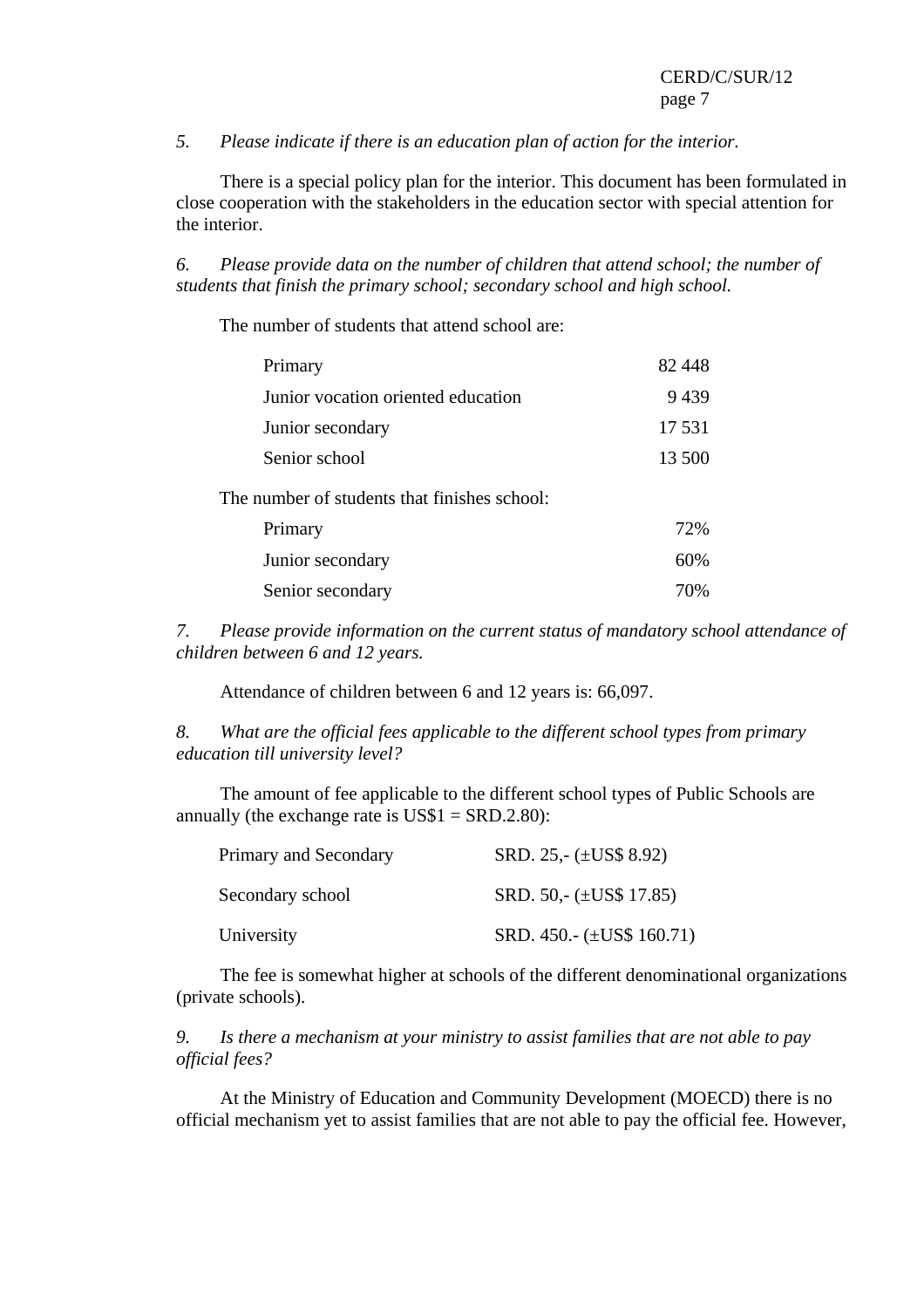*5. Please indicate if there is an education plan of action for the interior.* 

 There is a special policy plan for the interior. This document has been formulated in close cooperation with the stakeholders in the education sector with special attention for the interior.

*6. Please provide data on the number of children that attend school; the number of students that finish the primary school; secondary school and high school.* 

The number of students that attend school are:

| Primary                                      | 82 448 |
|----------------------------------------------|--------|
| Junior vocation oriented education           | 9439   |
| Junior secondary                             | 17 531 |
| Senior school                                | 13 500 |
| The number of students that finishes school: |        |
| Primary                                      | 72%    |
| Junior secondary                             | 60%    |
| Senior secondary                             | 70%    |

*7. Please provide information on the current status of mandatory school attendance of children between 6 and 12 years.* 

Attendance of children between 6 and 12 years is: 66,097.

*8. What are the official fees applicable to the different school types from primary education till university level?* 

 The amount of fee applicable to the different school types of Public Schools are annually (the exchange rate is  $\text{US$1 = SRD.2.80}$ ):

| Primary and Secondary | SRD. 25,- $(\pm \text{US}\$ \, 8.92)$ |
|-----------------------|---------------------------------------|
| Secondary school      | SRD. 50,- $(\pm \text{USS } 17.85)$   |
| University            | SRD. 450.- $(\pm \text{USS } 160.71)$ |

 The fee is somewhat higher at schools of the different denominational organizations (private schools).

*9. Is there a mechanism at your ministry to assist families that are not able to pay official fees?* 

 At the Ministry of Education and Community Development (MOECD) there is no official mechanism yet to assist families that are not able to pay the official fee. However,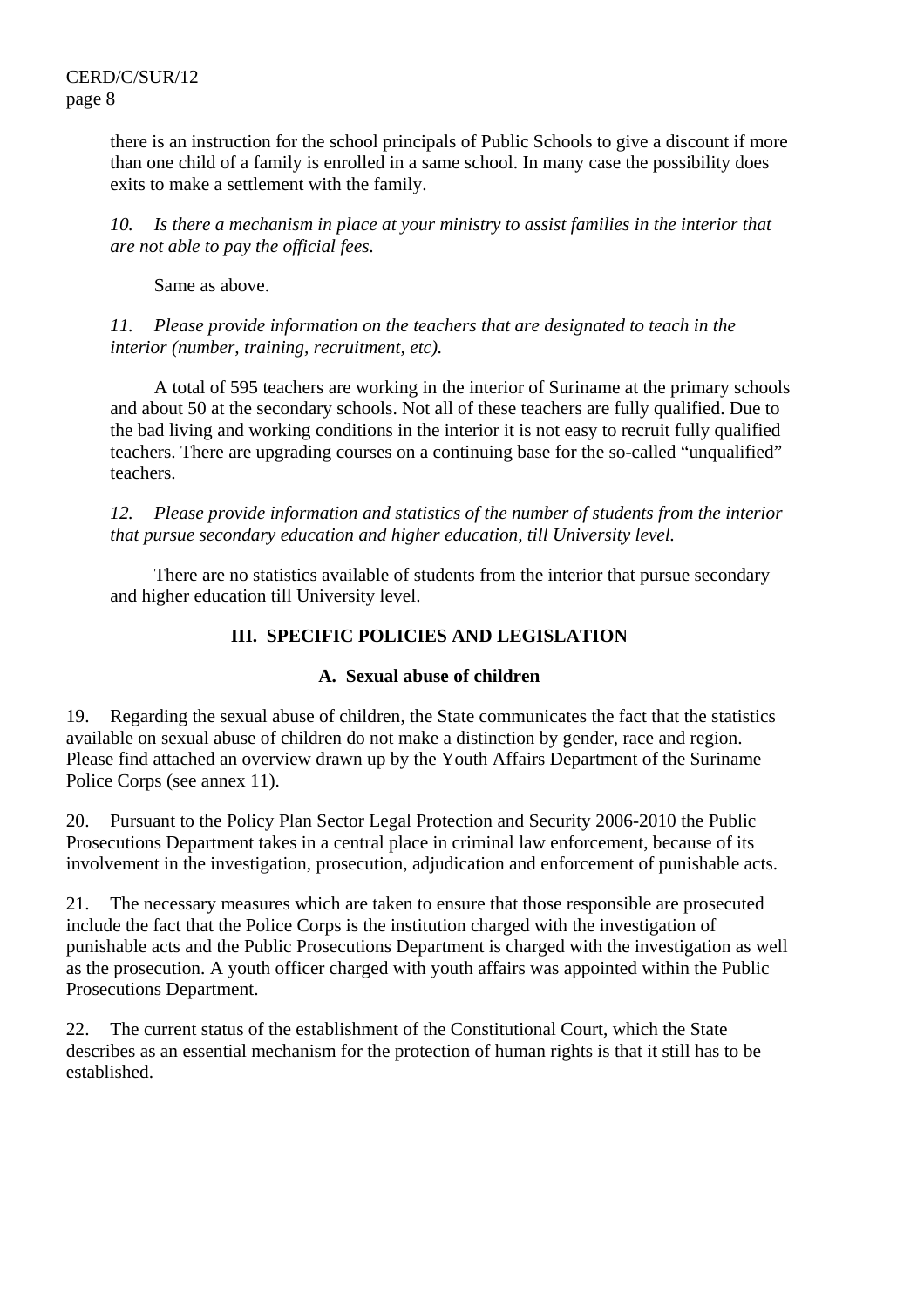there is an instruction for the school principals of Public Schools to give a discount if more than one child of a family is enrolled in a same school. In many case the possibility does exits to make a settlement with the family.

*10. Is there a mechanism in place at your ministry to assist families in the interior that are not able to pay the official fees.* 

Same as above.

*11. Please provide information on the teachers that are designated to teach in the interior (number, training, recruitment, etc).* 

A total of 595 teachers are working in the interior of Suriname at the primary schools and about 50 at the secondary schools. Not all of these teachers are fully qualified. Due to the bad living and working conditions in the interior it is not easy to recruit fully qualified teachers. There are upgrading courses on a continuing base for the so-called "unqualified" teachers.

*12. Please provide information and statistics of the number of students from the interior that pursue secondary education and higher education, till University level.* 

 There are no statistics available of students from the interior that pursue secondary and higher education till University level.

## **III. SPECIFIC POLICIES AND LEGISLATION**

## **A. Sexual abuse of children**

19. Regarding the sexual abuse of children, the State communicates the fact that the statistics available on sexual abuse of children do not make a distinction by gender, race and region. Please find attached an overview drawn up by the Youth Affairs Department of the Suriname Police Corps (see annex 11).

20. Pursuant to the Policy Plan Sector Legal Protection and Security 2006-2010 the Public Prosecutions Department takes in a central place in criminal law enforcement, because of its involvement in the investigation, prosecution, adjudication and enforcement of punishable acts.

21. The necessary measures which are taken to ensure that those responsible are prosecuted include the fact that the Police Corps is the institution charged with the investigation of punishable acts and the Public Prosecutions Department is charged with the investigation as well as the prosecution. A youth officer charged with youth affairs was appointed within the Public Prosecutions Department.

22. The current status of the establishment of the Constitutional Court, which the State describes as an essential mechanism for the protection of human rights is that it still has to be established.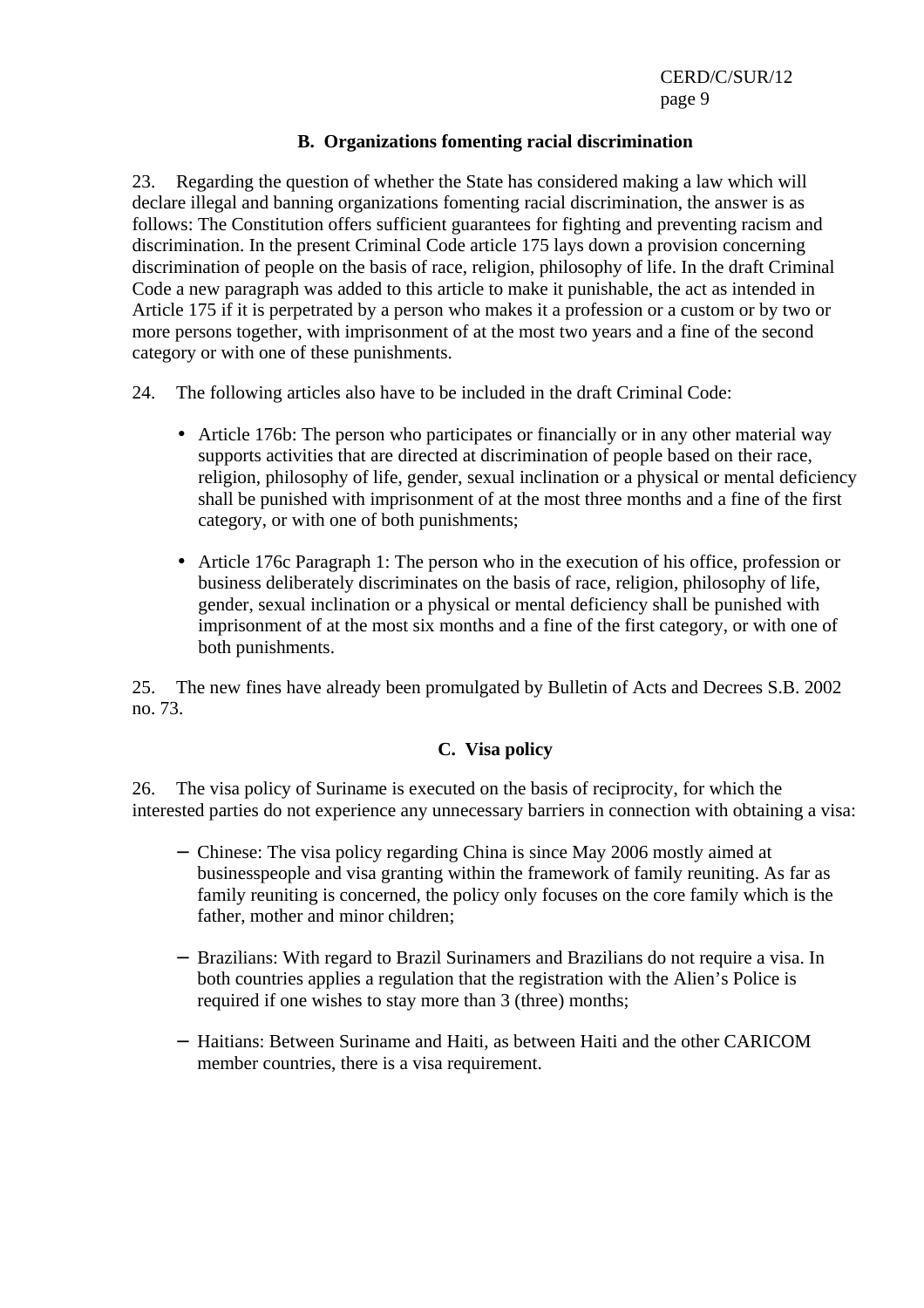#### **B. Organizations fomenting racial discrimination**

23. Regarding the question of whether the State has considered making a law which will declare illegal and banning organizations fomenting racial discrimination, the answer is as follows: The Constitution offers sufficient guarantees for fighting and preventing racism and discrimination. In the present Criminal Code article 175 lays down a provision concerning discrimination of people on the basis of race, religion, philosophy of life. In the draft Criminal Code a new paragraph was added to this article to make it punishable, the act as intended in Article 175 if it is perpetrated by a person who makes it a profession or a custom or by two or more persons together, with imprisonment of at the most two years and a fine of the second category or with one of these punishments.

24. The following articles also have to be included in the draft Criminal Code:

- Article 176b: The person who participates or financially or in any other material way supports activities that are directed at discrimination of people based on their race, religion, philosophy of life, gender, sexual inclination or a physical or mental deficiency shall be punished with imprisonment of at the most three months and a fine of the first category, or with one of both punishments;
- Article 176c Paragraph 1: The person who in the execution of his office, profession or business deliberately discriminates on the basis of race, religion, philosophy of life, gender, sexual inclination or a physical or mental deficiency shall be punished with imprisonment of at the most six months and a fine of the first category, or with one of both punishments.

25. The new fines have already been promulgated by Bulletin of Acts and Decrees S.B. 2002 no. 73.

#### **C. Visa policy**

26. The visa policy of Suriname is executed on the basis of reciprocity, for which the interested parties do not experience any unnecessary barriers in connection with obtaining a visa:

- − Chinese: The visa policy regarding China is since May 2006 mostly aimed at businesspeople and visa granting within the framework of family reuniting. As far as family reuniting is concerned, the policy only focuses on the core family which is the father, mother and minor children;
- − Brazilians: With regard to Brazil Surinamers and Brazilians do not require a visa. In both countries applies a regulation that the registration with the Alien's Police is required if one wishes to stay more than 3 (three) months;
- − Haitians: Between Suriname and Haiti, as between Haiti and the other CARICOM member countries, there is a visa requirement.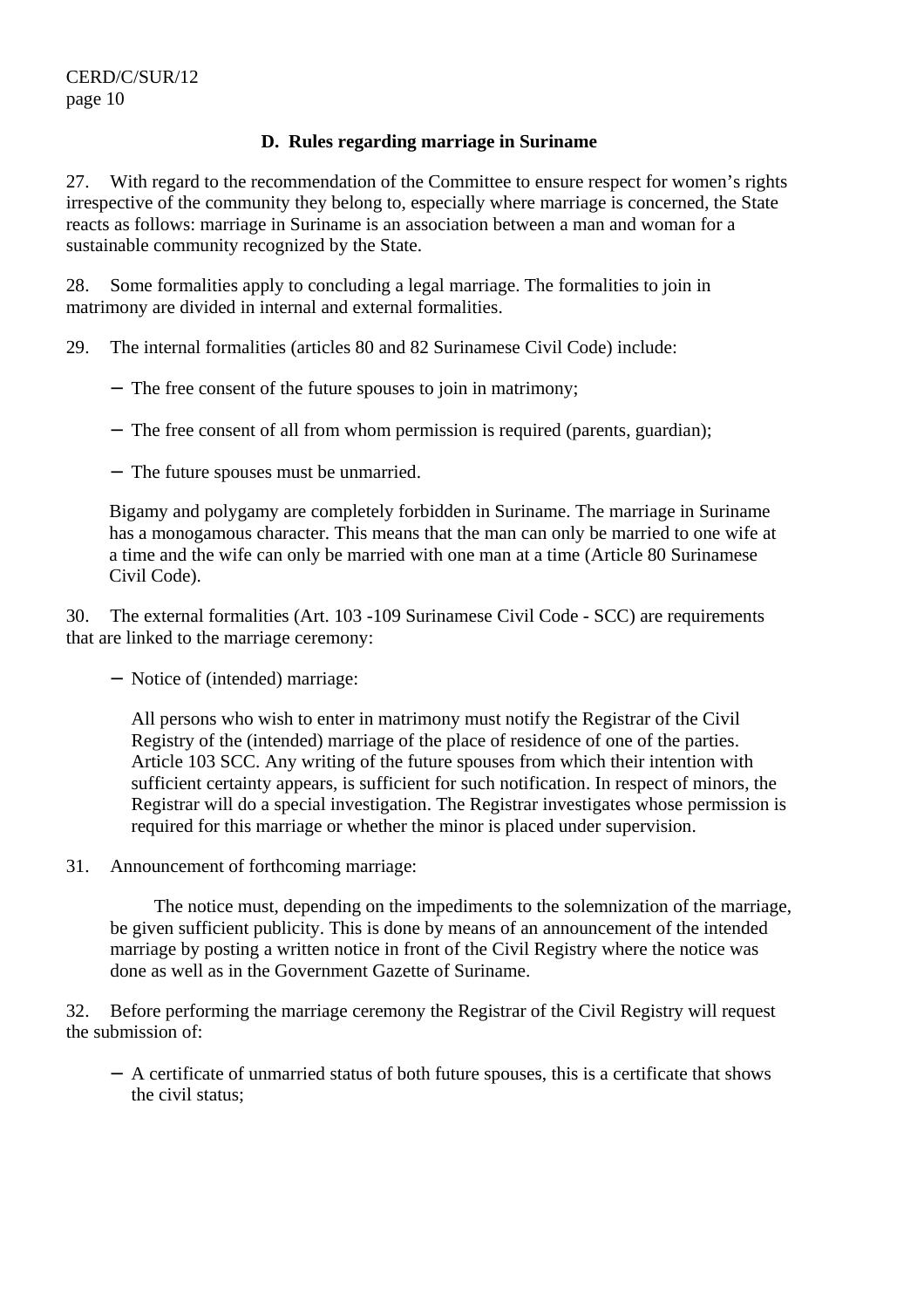## **D. Rules regarding marriage in Suriname**

27. With regard to the recommendation of the Committee to ensure respect for women's rights irrespective of the community they belong to, especially where marriage is concerned, the State reacts as follows: marriage in Suriname is an association between a man and woman for a sustainable community recognized by the State.

28. Some formalities apply to concluding a legal marriage. The formalities to join in matrimony are divided in internal and external formalities.

- 29. The internal formalities (articles 80 and 82 Surinamese Civil Code) include:
	- − The free consent of the future spouses to join in matrimony;
	- − The free consent of all from whom permission is required (parents, guardian);
	- − The future spouses must be unmarried.

Bigamy and polygamy are completely forbidden in Suriname. The marriage in Suriname has a monogamous character. This means that the man can only be married to one wife at a time and the wife can only be married with one man at a time (Article 80 Surinamese Civil Code).

30. The external formalities (Art. 103 -109 Surinamese Civil Code - SCC) are requirements that are linked to the marriage ceremony:

− Notice of (intended) marriage:

All persons who wish to enter in matrimony must notify the Registrar of the Civil Registry of the (intended) marriage of the place of residence of one of the parties. Article 103 SCC. Any writing of the future spouses from which their intention with sufficient certainty appears, is sufficient for such notification. In respect of minors, the Registrar will do a special investigation. The Registrar investigates whose permission is required for this marriage or whether the minor is placed under supervision.

31. Announcement of forthcoming marriage:

 The notice must, depending on the impediments to the solemnization of the marriage, be given sufficient publicity. This is done by means of an announcement of the intended marriage by posting a written notice in front of the Civil Registry where the notice was done as well as in the Government Gazette of Suriname.

32. Before performing the marriage ceremony the Registrar of the Civil Registry will request the submission of:

− A certificate of unmarried status of both future spouses, this is a certificate that shows the civil status;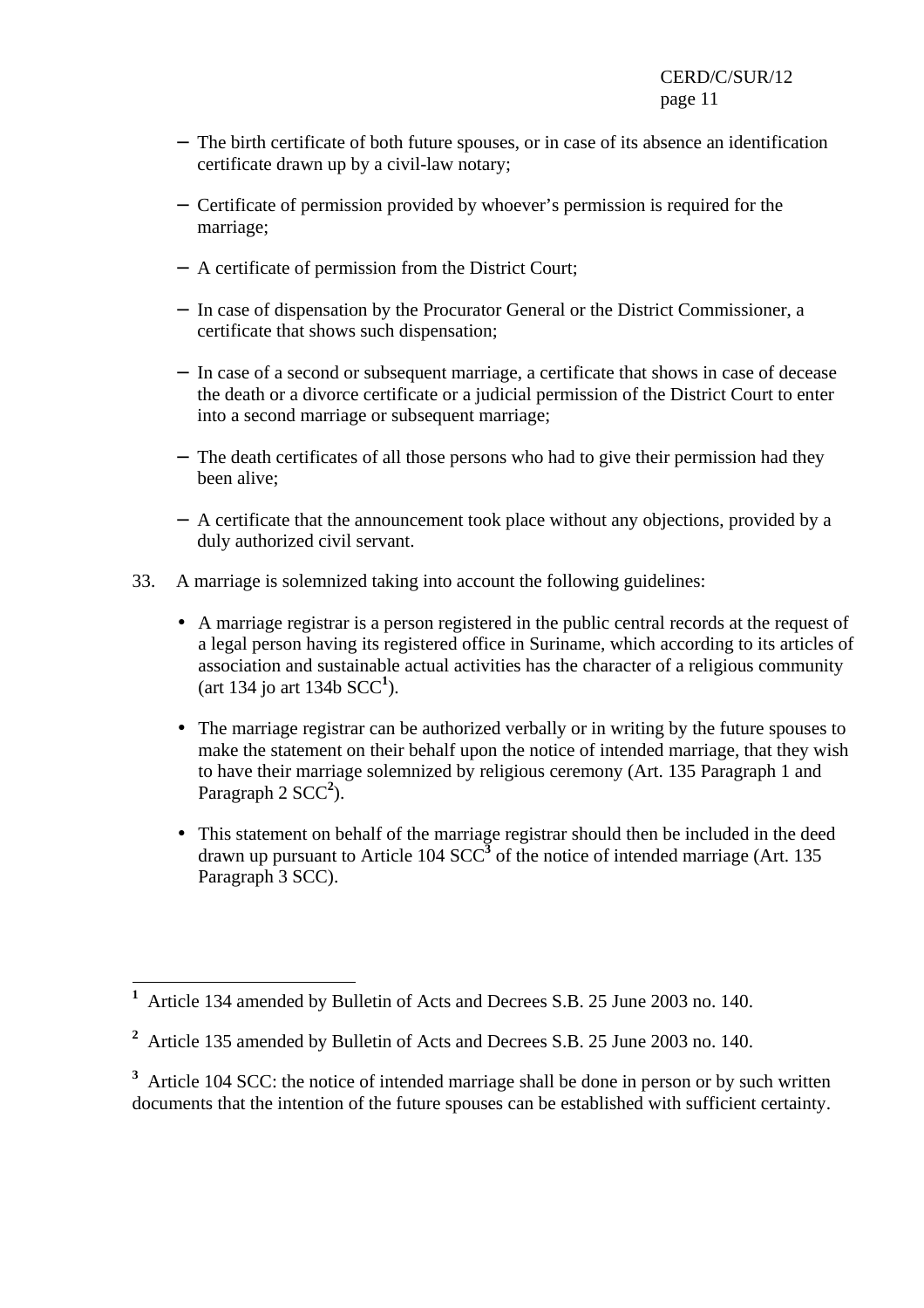- − The birth certificate of both future spouses, or in case of its absence an identification certificate drawn up by a civil-law notary;
- − Certificate of permission provided by whoever's permission is required for the marriage;
- − A certificate of permission from the District Court;
- − In case of dispensation by the Procurator General or the District Commissioner, a certificate that shows such dispensation;
- − In case of a second or subsequent marriage, a certificate that shows in case of decease the death or a divorce certificate or a judicial permission of the District Court to enter into a second marriage or subsequent marriage;
- − The death certificates of all those persons who had to give their permission had they been alive;
- − A certificate that the announcement took place without any objections, provided by a duly authorized civil servant.
- 33. A marriage is solemnized taking into account the following guidelines:
	- A marriage registrar is a person registered in the public central records at the request of a legal person having its registered office in Suriname, which according to its articles of association and sustainable actual activities has the character of a religious community (art 134 jo art 134b SCC**<sup>1</sup>** ).
	- The marriage registrar can be authorized verbally or in writing by the future spouses to make the statement on their behalf upon the notice of intended marriage, that they wish to have their marriage solemnized by religious ceremony (Art. 135 Paragraph 1 and Paragraph 2 SCC<sup>2</sup>).
	- This statement on behalf of the marriage registrar should then be included in the deed drawn up pursuant to Article 104  $SCC<sup>3</sup>$  of the notice of intended marriage (Art. 135) Paragraph 3 SCC).

 $\overline{a}$ **1** Article 134 amended by Bulletin of Acts and Decrees S.B. 25 June 2003 no. 140.

**<sup>2</sup>** Article 135 amended by Bulletin of Acts and Decrees S.B. 25 June 2003 no. 140.

<sup>&</sup>lt;sup>3</sup> Article 104 SCC: the notice of intended marriage shall be done in person or by such written documents that the intention of the future spouses can be established with sufficient certainty.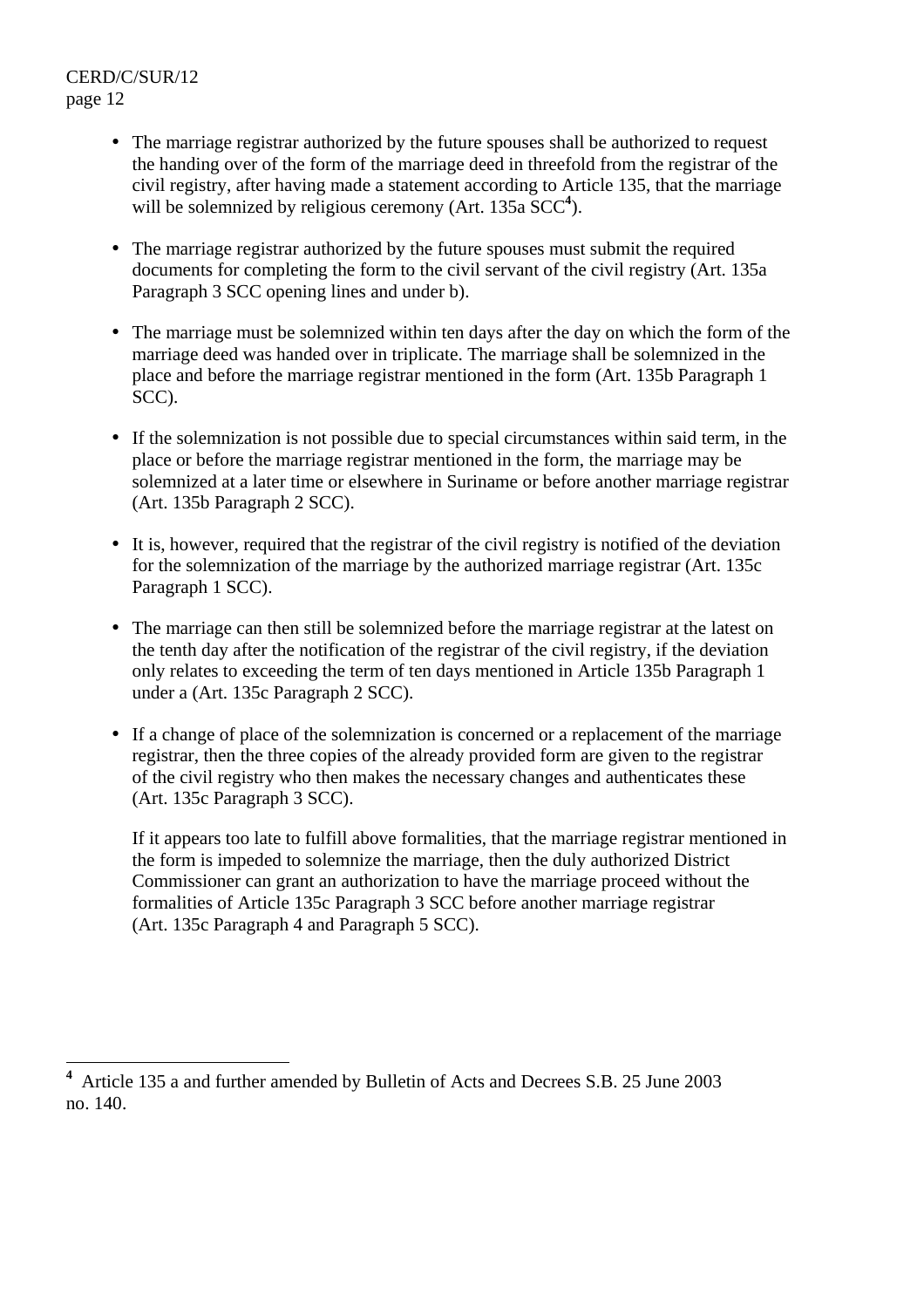- The marriage registrar authorized by the future spouses shall be authorized to request the handing over of the form of the marriage deed in threefold from the registrar of the civil registry, after having made a statement according to Article 135, that the marriage will be solemnized by religious ceremony (Art. 135a SCC<sup>4</sup>).
- The marriage registrar authorized by the future spouses must submit the required documents for completing the form to the civil servant of the civil registry (Art. 135a Paragraph 3 SCC opening lines and under b).
- The marriage must be solemnized within ten days after the day on which the form of the marriage deed was handed over in triplicate. The marriage shall be solemnized in the place and before the marriage registrar mentioned in the form (Art. 135b Paragraph 1 SCC).
- If the solemnization is not possible due to special circumstances within said term, in the place or before the marriage registrar mentioned in the form, the marriage may be solemnized at a later time or elsewhere in Suriname or before another marriage registrar (Art. 135b Paragraph 2 SCC).
- It is, however, required that the registrar of the civil registry is notified of the deviation for the solemnization of the marriage by the authorized marriage registrar (Art. 135c Paragraph 1 SCC).
- The marriage can then still be solemnized before the marriage registrar at the latest on the tenth day after the notification of the registrar of the civil registry, if the deviation only relates to exceeding the term of ten days mentioned in Article 135b Paragraph 1 under a (Art. 135c Paragraph 2 SCC).
- If a change of place of the solemnization is concerned or a replacement of the marriage registrar, then the three copies of the already provided form are given to the registrar of the civil registry who then makes the necessary changes and authenticates these (Art. 135c Paragraph 3 SCC).

If it appears too late to fulfill above formalities, that the marriage registrar mentioned in the form is impeded to solemnize the marriage, then the duly authorized District Commissioner can grant an authorization to have the marriage proceed without the formalities of Article 135c Paragraph 3 SCC before another marriage registrar (Art. 135c Paragraph 4 and Paragraph 5 SCC).

 **4** Article 135 a and further amended by Bulletin of Acts and Decrees S.B. 25 June 2003 no. 140.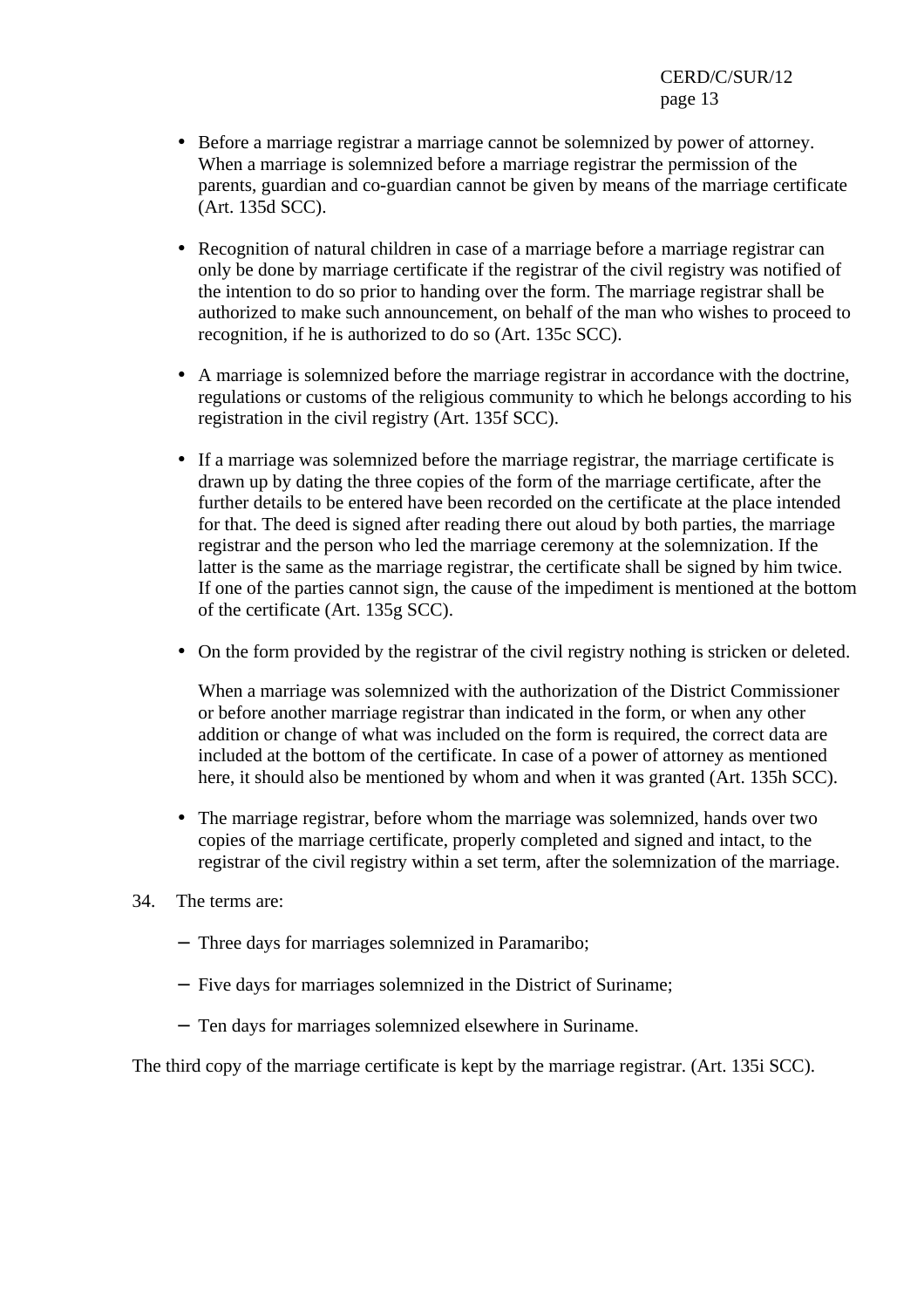- Before a marriage registrar a marriage cannot be solemnized by power of attorney. When a marriage is solemnized before a marriage registrar the permission of the parents, guardian and co-guardian cannot be given by means of the marriage certificate (Art. 135d SCC).
- Recognition of natural children in case of a marriage before a marriage registrar can only be done by marriage certificate if the registrar of the civil registry was notified of the intention to do so prior to handing over the form. The marriage registrar shall be authorized to make such announcement, on behalf of the man who wishes to proceed to recognition, if he is authorized to do so (Art. 135c SCC).
- A marriage is solemnized before the marriage registrar in accordance with the doctrine, regulations or customs of the religious community to which he belongs according to his registration in the civil registry (Art. 135f SCC).
- If a marriage was solemnized before the marriage registrar, the marriage certificate is drawn up by dating the three copies of the form of the marriage certificate, after the further details to be entered have been recorded on the certificate at the place intended for that. The deed is signed after reading there out aloud by both parties, the marriage registrar and the person who led the marriage ceremony at the solemnization. If the latter is the same as the marriage registrar, the certificate shall be signed by him twice. If one of the parties cannot sign, the cause of the impediment is mentioned at the bottom of the certificate (Art. 135g SCC).
- On the form provided by the registrar of the civil registry nothing is stricken or deleted.

When a marriage was solemnized with the authorization of the District Commissioner or before another marriage registrar than indicated in the form, or when any other addition or change of what was included on the form is required, the correct data are included at the bottom of the certificate. In case of a power of attorney as mentioned here, it should also be mentioned by whom and when it was granted (Art. 135h SCC).

- The marriage registrar, before whom the marriage was solemnized, hands over two copies of the marriage certificate, properly completed and signed and intact, to the registrar of the civil registry within a set term, after the solemnization of the marriage.
- 34. The terms are:
	- − Three days for marriages solemnized in Paramaribo;
	- − Five days for marriages solemnized in the District of Suriname;
	- − Ten days for marriages solemnized elsewhere in Suriname.

The third copy of the marriage certificate is kept by the marriage registrar. (Art. 135i SCC).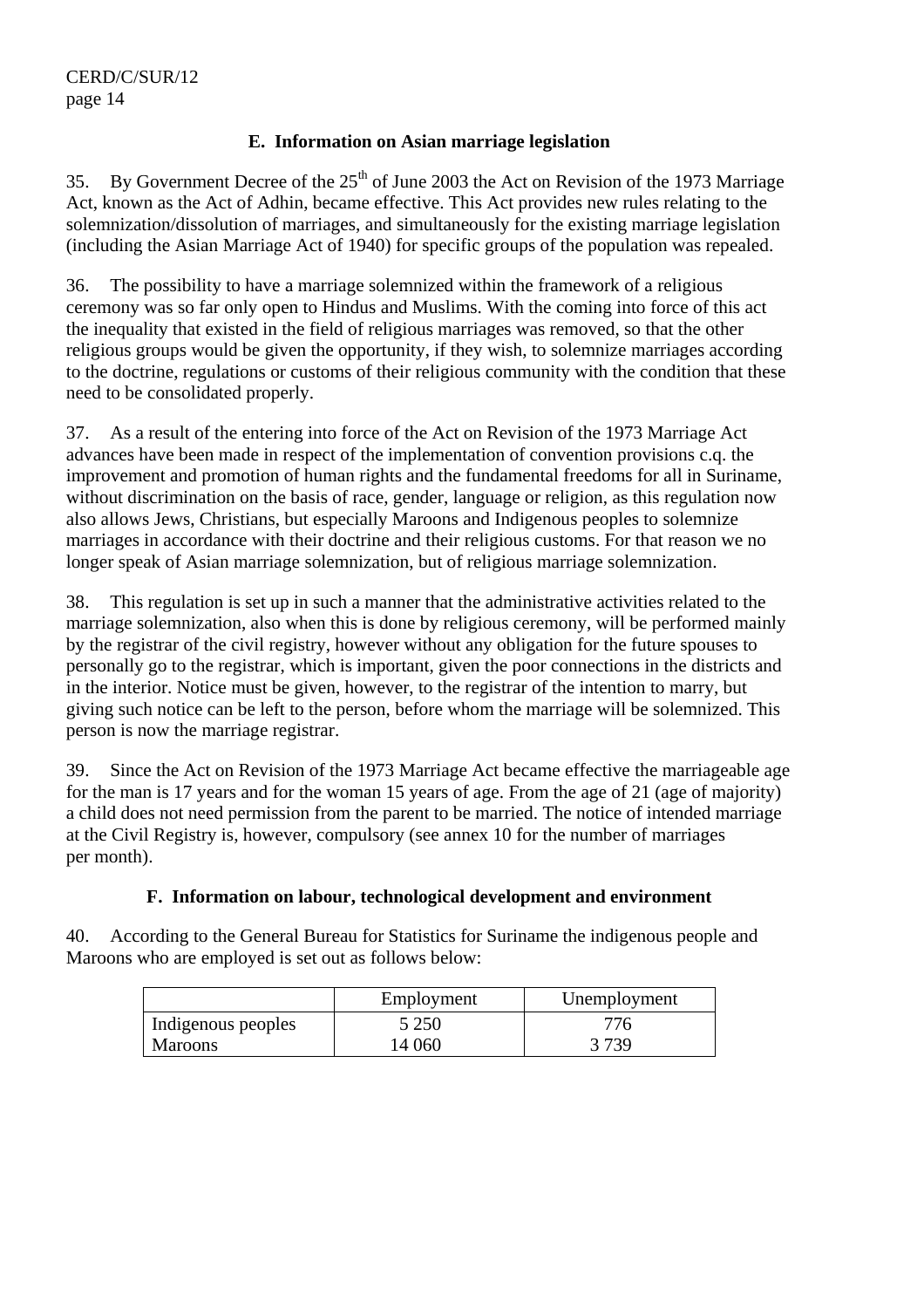## **E. Information on Asian marriage legislation**

35. By Government Decree of the  $25<sup>th</sup>$  of June 2003 the Act on Revision of the 1973 Marriage Act, known as the Act of Adhin, became effective. This Act provides new rules relating to the solemnization/dissolution of marriages, and simultaneously for the existing marriage legislation (including the Asian Marriage Act of 1940) for specific groups of the population was repealed.

36. The possibility to have a marriage solemnized within the framework of a religious ceremony was so far only open to Hindus and Muslims. With the coming into force of this act the inequality that existed in the field of religious marriages was removed, so that the other religious groups would be given the opportunity, if they wish, to solemnize marriages according to the doctrine, regulations or customs of their religious community with the condition that these need to be consolidated properly.

37. As a result of the entering into force of the Act on Revision of the 1973 Marriage Act advances have been made in respect of the implementation of convention provisions c.q. the improvement and promotion of human rights and the fundamental freedoms for all in Suriname, without discrimination on the basis of race, gender, language or religion, as this regulation now also allows Jews, Christians, but especially Maroons and Indigenous peoples to solemnize marriages in accordance with their doctrine and their religious customs. For that reason we no longer speak of Asian marriage solemnization, but of religious marriage solemnization.

38. This regulation is set up in such a manner that the administrative activities related to the marriage solemnization, also when this is done by religious ceremony, will be performed mainly by the registrar of the civil registry, however without any obligation for the future spouses to personally go to the registrar, which is important, given the poor connections in the districts and in the interior. Notice must be given, however, to the registrar of the intention to marry, but giving such notice can be left to the person, before whom the marriage will be solemnized. This person is now the marriage registrar.

39. Since the Act on Revision of the 1973 Marriage Act became effective the marriageable age for the man is 17 years and for the woman 15 years of age. From the age of 21 (age of majority) a child does not need permission from the parent to be married. The notice of intended marriage at the Civil Registry is, however, compulsory (see annex 10 for the number of marriages per month).

## **F. Information on labour, technological development and environment**

40. According to the General Bureau for Statistics for Suriname the indigenous people and Maroons who are employed is set out as follows below:

|                    | Employment | Unemployment |
|--------------------|------------|--------------|
| Indigenous peoples | 5 2 5 0    | 776          |
| <b>Maroons</b>     | 14 060     | 3739         |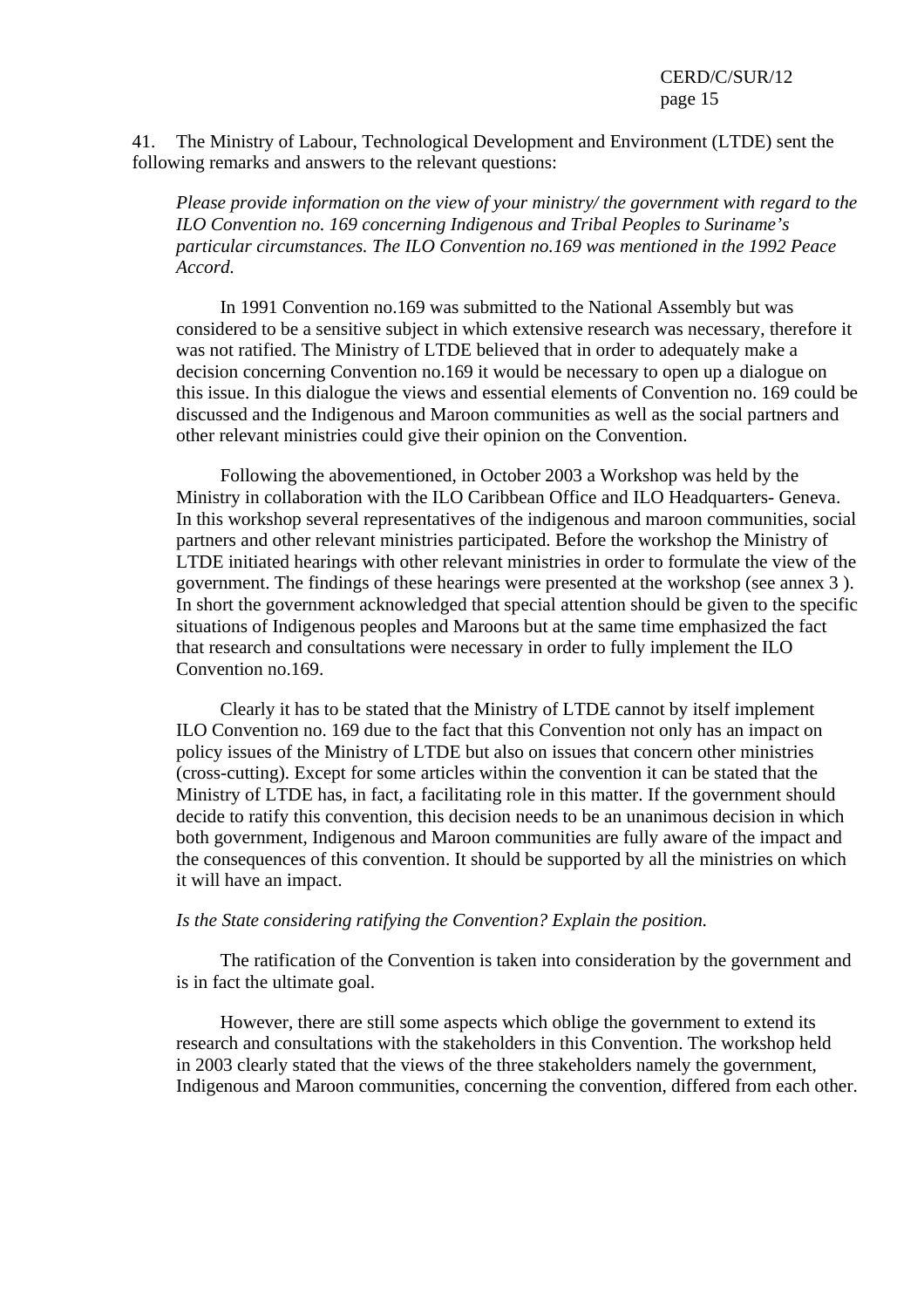41. The Ministry of Labour, Technological Development and Environment (LTDE) sent the following remarks and answers to the relevant questions:

*Please provide information on the view of your ministry/ the government with regard to the ILO Convention no. 169 concerning Indigenous and Tribal Peoples to Suriname's particular circumstances. The ILO Convention no.169 was mentioned in the 1992 Peace Accord.* 

 In 1991 Convention no.169 was submitted to the National Assembly but was considered to be a sensitive subject in which extensive research was necessary, therefore it was not ratified. The Ministry of LTDE believed that in order to adequately make a decision concerning Convention no.169 it would be necessary to open up a dialogue on this issue. In this dialogue the views and essential elements of Convention no. 169 could be discussed and the Indigenous and Maroon communities as well as the social partners and other relevant ministries could give their opinion on the Convention.

 Following the abovementioned, in October 2003 a Workshop was held by the Ministry in collaboration with the ILO Caribbean Office and ILO Headquarters- Geneva. In this workshop several representatives of the indigenous and maroon communities, social partners and other relevant ministries participated. Before the workshop the Ministry of LTDE initiated hearings with other relevant ministries in order to formulate the view of the government. The findings of these hearings were presented at the workshop (see annex 3 ). In short the government acknowledged that special attention should be given to the specific situations of Indigenous peoples and Maroons but at the same time emphasized the fact that research and consultations were necessary in order to fully implement the ILO Convention no.169.

 Clearly it has to be stated that the Ministry of LTDE cannot by itself implement ILO Convention no. 169 due to the fact that this Convention not only has an impact on policy issues of the Ministry of LTDE but also on issues that concern other ministries (cross-cutting). Except for some articles within the convention it can be stated that the Ministry of LTDE has, in fact, a facilitating role in this matter. If the government should decide to ratify this convention, this decision needs to be an unanimous decision in which both government, Indigenous and Maroon communities are fully aware of the impact and the consequences of this convention. It should be supported by all the ministries on which it will have an impact.

#### *Is the State considering ratifying the Convention? Explain the position.*

 The ratification of the Convention is taken into consideration by the government and is in fact the ultimate goal.

 However, there are still some aspects which oblige the government to extend its research and consultations with the stakeholders in this Convention. The workshop held in 2003 clearly stated that the views of the three stakeholders namely the government, Indigenous and Maroon communities, concerning the convention, differed from each other.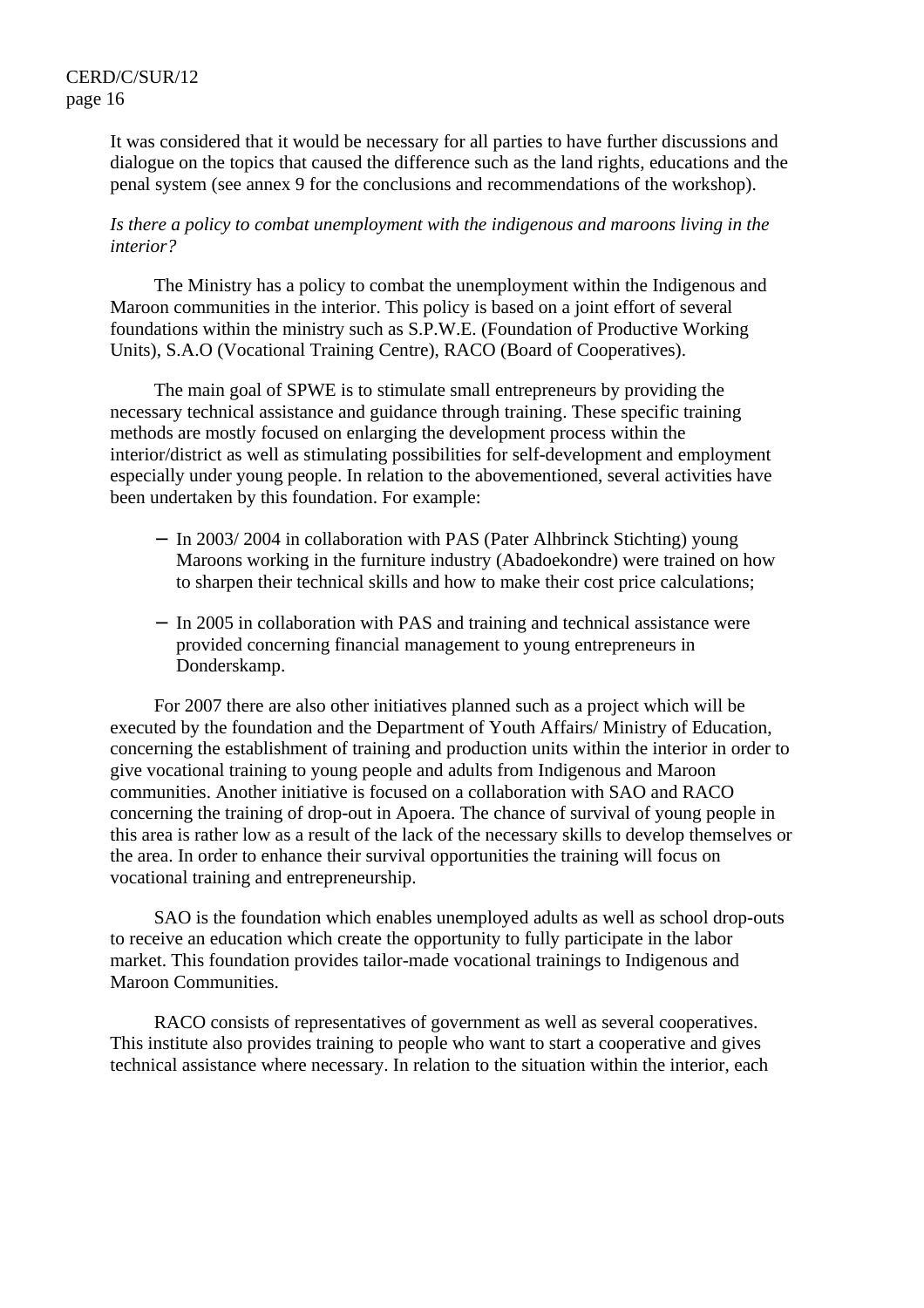It was considered that it would be necessary for all parties to have further discussions and dialogue on the topics that caused the difference such as the land rights, educations and the penal system (see annex 9 for the conclusions and recommendations of the workshop).

#### *Is there a policy to combat unemployment with the indigenous and maroons living in the interior?*

 The Ministry has a policy to combat the unemployment within the Indigenous and Maroon communities in the interior. This policy is based on a joint effort of several foundations within the ministry such as S.P.W.E. (Foundation of Productive Working Units), S.A.O (Vocational Training Centre), RACO (Board of Cooperatives).

 The main goal of SPWE is to stimulate small entrepreneurs by providing the necessary technical assistance and guidance through training. These specific training methods are mostly focused on enlarging the development process within the interior/district as well as stimulating possibilities for self-development and employment especially under young people. In relation to the abovementioned, several activities have been undertaken by this foundation. For example:

- − In 2003/ 2004 in collaboration with PAS (Pater Alhbrinck Stichting) young Maroons working in the furniture industry (Abadoekondre) were trained on how to sharpen their technical skills and how to make their cost price calculations;
- − In 2005 in collaboration with PAS and training and technical assistance were provided concerning financial management to young entrepreneurs in Donderskamp.

 For 2007 there are also other initiatives planned such as a project which will be executed by the foundation and the Department of Youth Affairs/ Ministry of Education, concerning the establishment of training and production units within the interior in order to give vocational training to young people and adults from Indigenous and Maroon communities. Another initiative is focused on a collaboration with SAO and RACO concerning the training of drop-out in Apoera. The chance of survival of young people in this area is rather low as a result of the lack of the necessary skills to develop themselves or the area. In order to enhance their survival opportunities the training will focus on vocational training and entrepreneurship.

 SAO is the foundation which enables unemployed adults as well as school drop-outs to receive an education which create the opportunity to fully participate in the labor market. This foundation provides tailor-made vocational trainings to Indigenous and Maroon Communities.

 RACO consists of representatives of government as well as several cooperatives. This institute also provides training to people who want to start a cooperative and gives technical assistance where necessary. In relation to the situation within the interior, each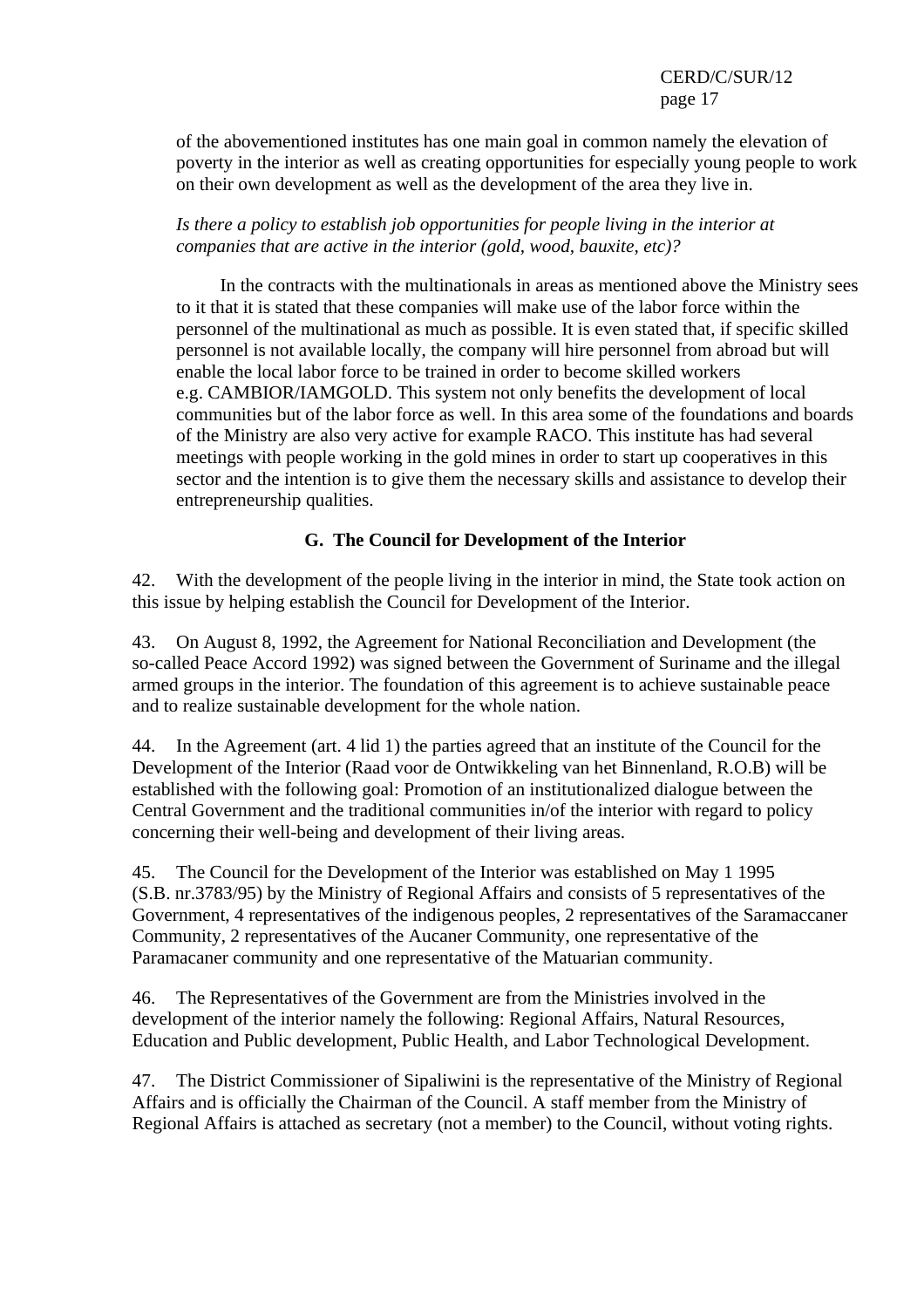of the abovementioned institutes has one main goal in common namely the elevation of poverty in the interior as well as creating opportunities for especially young people to work on their own development as well as the development of the area they live in.

*Is there a policy to establish job opportunities for people living in the interior at companies that are active in the interior (gold, wood, bauxite, etc)?* 

 In the contracts with the multinationals in areas as mentioned above the Ministry sees to it that it is stated that these companies will make use of the labor force within the personnel of the multinational as much as possible. It is even stated that, if specific skilled personnel is not available locally, the company will hire personnel from abroad but will enable the local labor force to be trained in order to become skilled workers e.g. CAMBIOR/IAMGOLD. This system not only benefits the development of local communities but of the labor force as well. In this area some of the foundations and boards of the Ministry are also very active for example RACO. This institute has had several meetings with people working in the gold mines in order to start up cooperatives in this sector and the intention is to give them the necessary skills and assistance to develop their entrepreneurship qualities.

## **G. The Council for Development of the Interior**

42. With the development of the people living in the interior in mind, the State took action on this issue by helping establish the Council for Development of the Interior.

43. On August 8, 1992, the Agreement for National Reconciliation and Development (the so-called Peace Accord 1992) was signed between the Government of Suriname and the illegal armed groups in the interior. The foundation of this agreement is to achieve sustainable peace and to realize sustainable development for the whole nation.

44. In the Agreement (art. 4 lid 1) the parties agreed that an institute of the Council for the Development of the Interior (Raad voor de Ontwikkeling van het Binnenland, R.O.B) will be established with the following goal: Promotion of an institutionalized dialogue between the Central Government and the traditional communities in/of the interior with regard to policy concerning their well-being and development of their living areas.

45. The Council for the Development of the Interior was established on May 1 1995 (S.B. nr.3783/95) by the Ministry of Regional Affairs and consists of 5 representatives of the Government, 4 representatives of the indigenous peoples, 2 representatives of the Saramaccaner Community, 2 representatives of the Aucaner Community, one representative of the Paramacaner community and one representative of the Matuarian community.

46. The Representatives of the Government are from the Ministries involved in the development of the interior namely the following: Regional Affairs, Natural Resources, Education and Public development, Public Health, and Labor Technological Development.

47. The District Commissioner of Sipaliwini is the representative of the Ministry of Regional Affairs and is officially the Chairman of the Council. A staff member from the Ministry of Regional Affairs is attached as secretary (not a member) to the Council, without voting rights.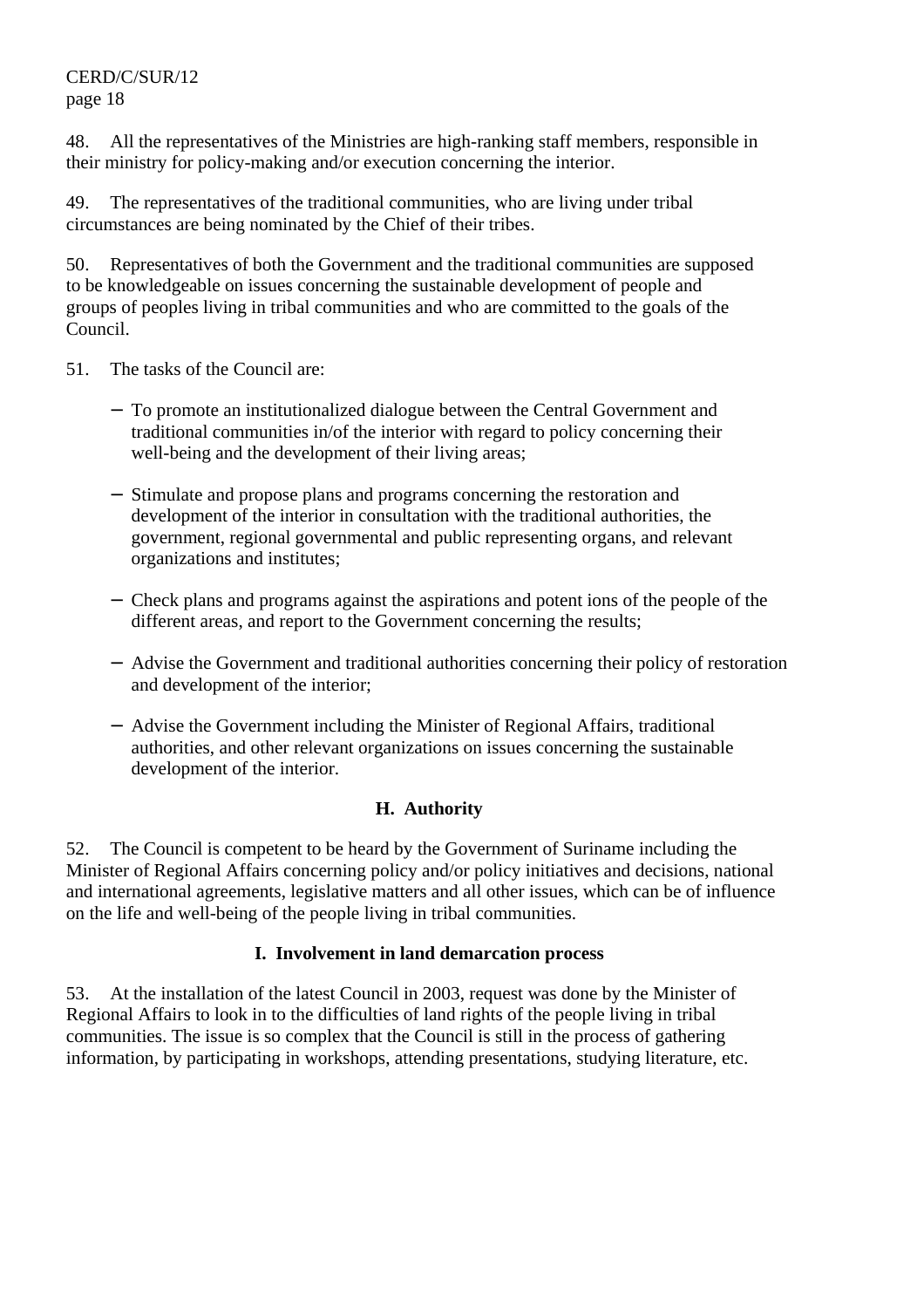48. All the representatives of the Ministries are high-ranking staff members, responsible in their ministry for policy-making and/or execution concerning the interior.

49. The representatives of the traditional communities, who are living under tribal circumstances are being nominated by the Chief of their tribes.

50. Representatives of both the Government and the traditional communities are supposed to be knowledgeable on issues concerning the sustainable development of people and groups of peoples living in tribal communities and who are committed to the goals of the Council.

- 51. The tasks of the Council are:
	- − To promote an institutionalized dialogue between the Central Government and traditional communities in/of the interior with regard to policy concerning their well-being and the development of their living areas;
	- − Stimulate and propose plans and programs concerning the restoration and development of the interior in consultation with the traditional authorities, the government, regional governmental and public representing organs, and relevant organizations and institutes;
	- − Check plans and programs against the aspirations and potent ions of the people of the different areas, and report to the Government concerning the results;
	- − Advise the Government and traditional authorities concerning their policy of restoration and development of the interior;
	- − Advise the Government including the Minister of Regional Affairs, traditional authorities, and other relevant organizations on issues concerning the sustainable development of the interior.

## **H. Authority**

52. The Council is competent to be heard by the Government of Suriname including the Minister of Regional Affairs concerning policy and/or policy initiatives and decisions, national and international agreements, legislative matters and all other issues, which can be of influence on the life and well-being of the people living in tribal communities.

## **I. Involvement in land demarcation process**

53. At the installation of the latest Council in 2003, request was done by the Minister of Regional Affairs to look in to the difficulties of land rights of the people living in tribal communities. The issue is so complex that the Council is still in the process of gathering information, by participating in workshops, attending presentations, studying literature, etc.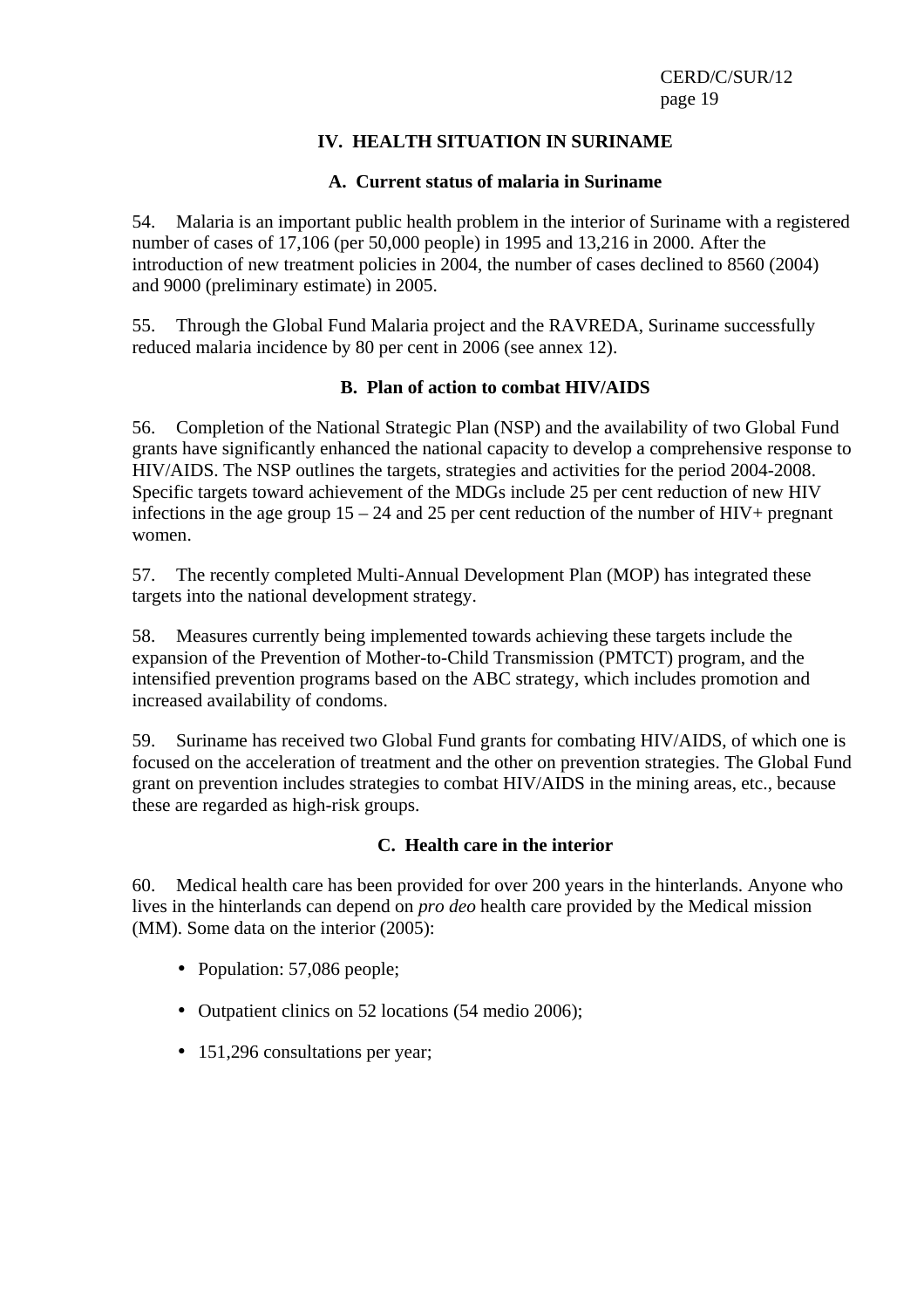## **IV. HEALTH SITUATION IN SURINAME**

#### **A. Current status of malaria in Suriname**

54. Malaria is an important public health problem in the interior of Suriname with a registered number of cases of 17,106 (per 50,000 people) in 1995 and 13,216 in 2000. After the introduction of new treatment policies in 2004, the number of cases declined to 8560 (2004) and 9000 (preliminary estimate) in 2005.

55. Through the Global Fund Malaria project and the RAVREDA, Suriname successfully reduced malaria incidence by 80 per cent in 2006 (see annex 12).

## **B. Plan of action to combat HIV/AIDS**

56. Completion of the National Strategic Plan (NSP) and the availability of two Global Fund grants have significantly enhanced the national capacity to develop a comprehensive response to HIV/AIDS. The NSP outlines the targets, strategies and activities for the period 2004-2008. Specific targets toward achievement of the MDGs include 25 per cent reduction of new HIV infections in the age group  $15 - 24$  and 25 per cent reduction of the number of HIV+ pregnant women.

57. The recently completed Multi-Annual Development Plan (MOP) has integrated these targets into the national development strategy.

58. Measures currently being implemented towards achieving these targets include the expansion of the Prevention of Mother-to-Child Transmission (PMTCT) program, and the intensified prevention programs based on the ABC strategy, which includes promotion and increased availability of condoms.

59. Suriname has received two Global Fund grants for combating HIV/AIDS, of which one is focused on the acceleration of treatment and the other on prevention strategies. The Global Fund grant on prevention includes strategies to combat HIV/AIDS in the mining areas, etc., because these are regarded as high-risk groups.

## **C. Health care in the interior**

60. Medical health care has been provided for over 200 years in the hinterlands. Anyone who lives in the hinterlands can depend on *pro deo* health care provided by the Medical mission (MM). Some data on the interior (2005):

- Population: 57,086 people;
- Outpatient clinics on 52 locations (54 medio 2006);
- 151,296 consultations per year;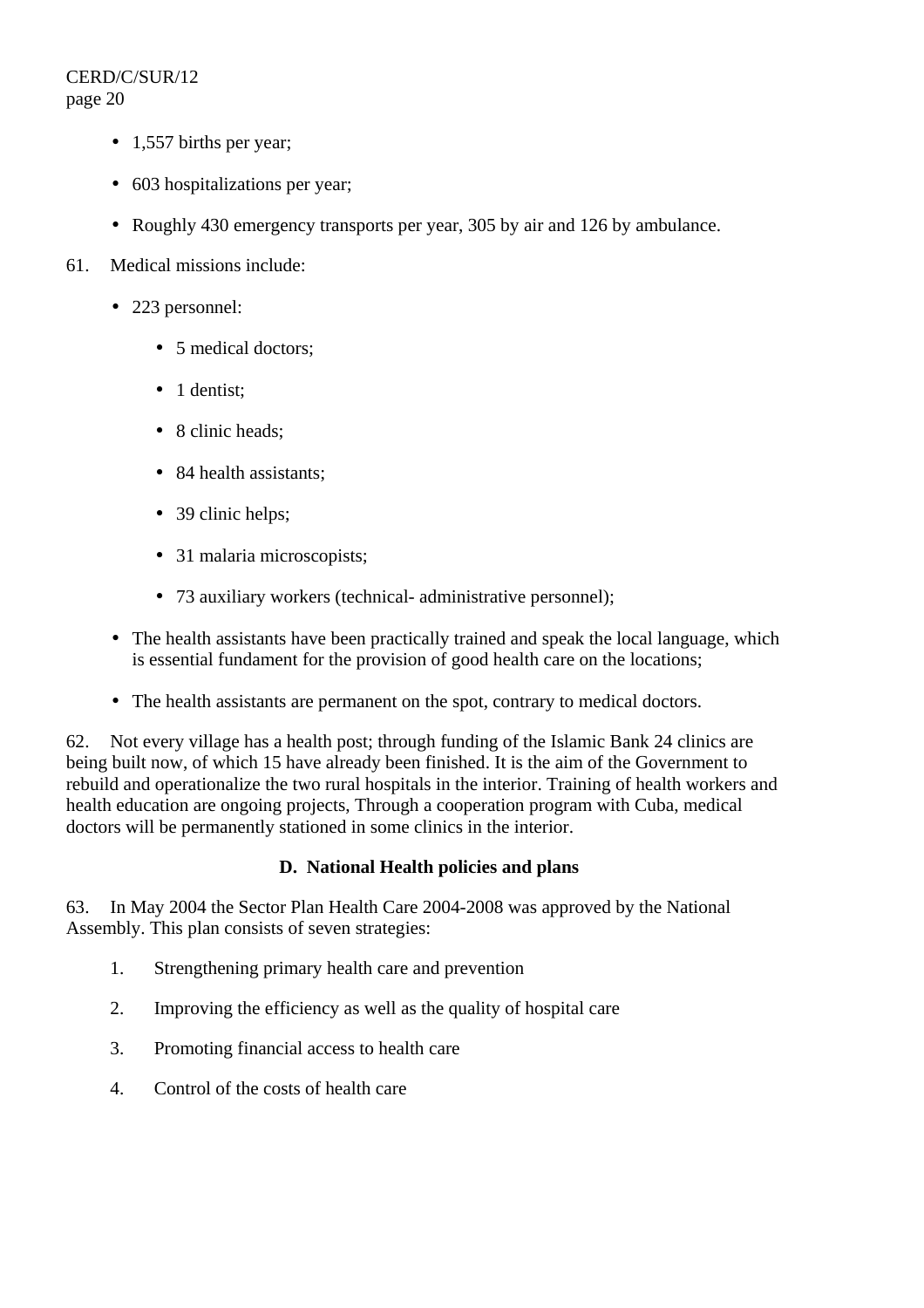- 1,557 births per year;
- 603 hospitalizations per year:
- Roughly 430 emergency transports per year, 305 by air and 126 by ambulance.
- 61. Medical missions include:
	- 223 personnel:
		- 5 medical doctors:
		- 1 dentist;
		- 8 clinic heads;
		- 84 health assistants;
		- 39 clinic helps;
		- 31 malaria microscopists:
		- 73 auxiliary workers (technical- administrative personnel);
	- The health assistants have been practically trained and speak the local language, which is essential fundament for the provision of good health care on the locations;
	- The health assistants are permanent on the spot, contrary to medical doctors.

62. Not every village has a health post; through funding of the Islamic Bank 24 clinics are being built now, of which 15 have already been finished. It is the aim of the Government to rebuild and operationalize the two rural hospitals in the interior. Training of health workers and health education are ongoing projects, Through a cooperation program with Cuba, medical doctors will be permanently stationed in some clinics in the interior.

## **D. National Health policies and plans**

63. In May 2004 the Sector Plan Health Care 2004-2008 was approved by the National Assembly. This plan consists of seven strategies:

- 1. Strengthening primary health care and prevention
- 2. Improving the efficiency as well as the quality of hospital care
- 3. Promoting financial access to health care
- 4. Control of the costs of health care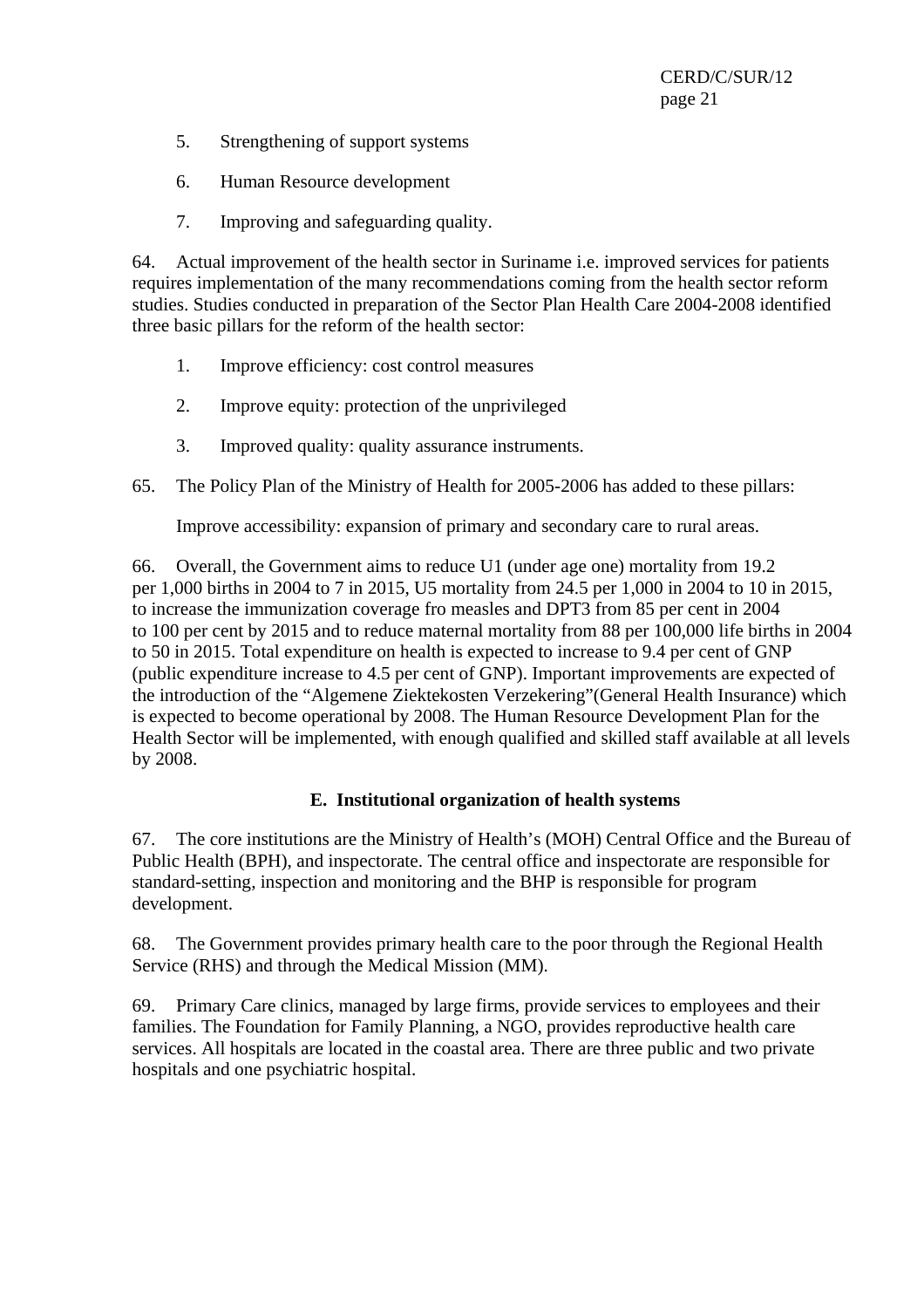- 5. Strengthening of support systems
- 6. Human Resource development
- 7. Improving and safeguarding quality.

64. Actual improvement of the health sector in Suriname i.e. improved services for patients requires implementation of the many recommendations coming from the health sector reform studies. Studies conducted in preparation of the Sector Plan Health Care 2004-2008 identified three basic pillars for the reform of the health sector:

- 1. Improve efficiency: cost control measures
- 2. Improve equity: protection of the unprivileged
- 3. Improved quality: quality assurance instruments.
- 65. The Policy Plan of the Ministry of Health for 2005-2006 has added to these pillars:

Improve accessibility: expansion of primary and secondary care to rural areas.

66. Overall, the Government aims to reduce U1 (under age one) mortality from 19.2 per 1,000 births in 2004 to 7 in 2015, U5 mortality from 24.5 per 1,000 in 2004 to 10 in 2015, to increase the immunization coverage fro measles and DPT3 from 85 per cent in 2004 to 100 per cent by 2015 and to reduce maternal mortality from 88 per 100,000 life births in 2004 to 50 in 2015. Total expenditure on health is expected to increase to 9.4 per cent of GNP (public expenditure increase to 4.5 per cent of GNP). Important improvements are expected of the introduction of the "Algemene Ziektekosten Verzekering"(General Health Insurance) which is expected to become operational by 2008. The Human Resource Development Plan for the Health Sector will be implemented, with enough qualified and skilled staff available at all levels by 2008.

## **E. Institutional organization of health systems**

67. The core institutions are the Ministry of Health's (MOH) Central Office and the Bureau of Public Health (BPH), and inspectorate. The central office and inspectorate are responsible for standard-setting, inspection and monitoring and the BHP is responsible for program development.

68. The Government provides primary health care to the poor through the Regional Health Service (RHS) and through the Medical Mission (MM).

69. Primary Care clinics, managed by large firms, provide services to employees and their families. The Foundation for Family Planning, a NGO, provides reproductive health care services. All hospitals are located in the coastal area. There are three public and two private hospitals and one psychiatric hospital.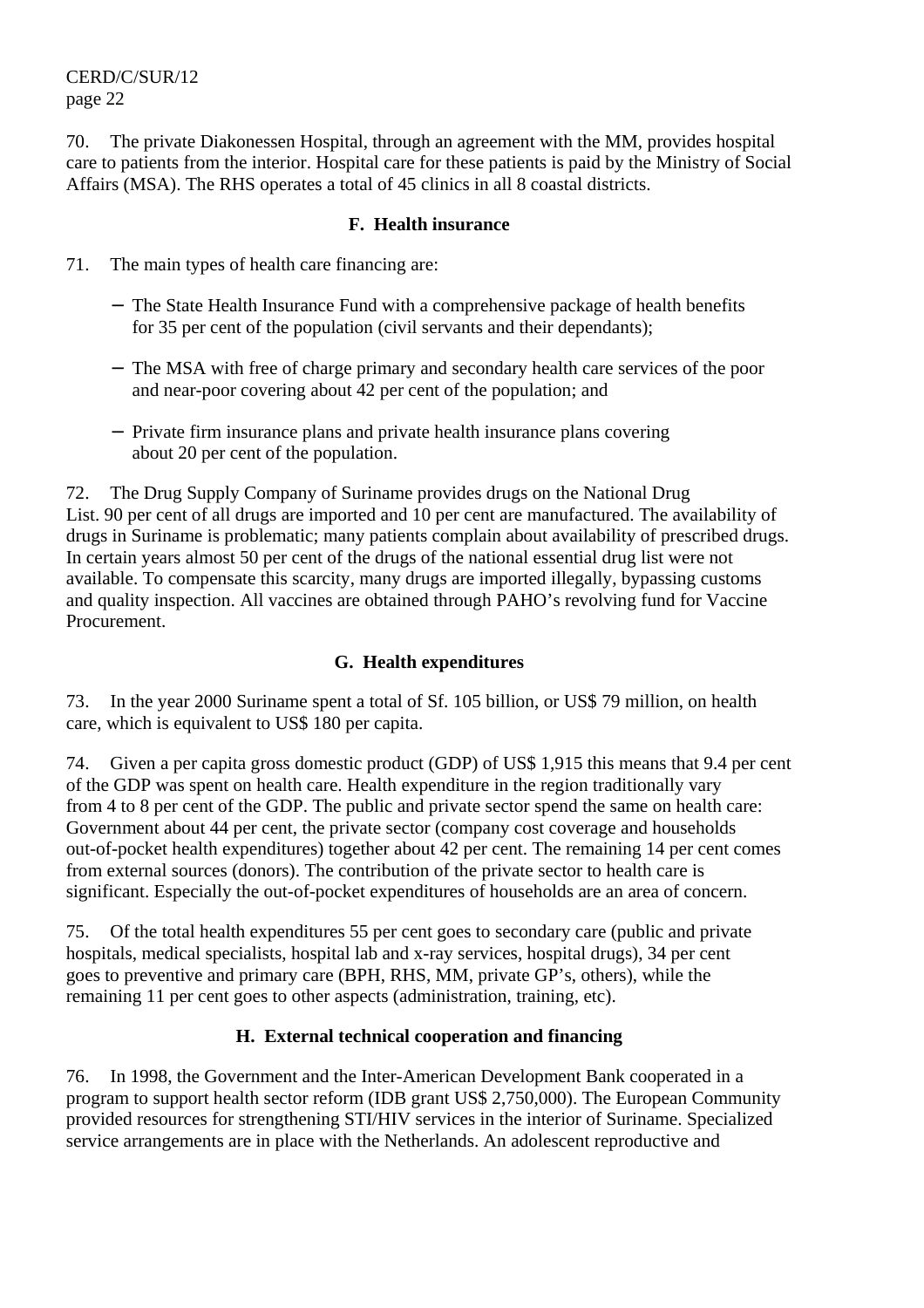70. The private Diakonessen Hospital, through an agreement with the MM, provides hospital care to patients from the interior. Hospital care for these patients is paid by the Ministry of Social Affairs (MSA). The RHS operates a total of 45 clinics in all 8 coastal districts.

#### **F. Health insurance**

- 71. The main types of health care financing are:
	- − The State Health Insurance Fund with a comprehensive package of health benefits for 35 per cent of the population (civil servants and their dependants);
	- − The MSA with free of charge primary and secondary health care services of the poor and near-poor covering about 42 per cent of the population; and
	- − Private firm insurance plans and private health insurance plans covering about 20 per cent of the population.

72. The Drug Supply Company of Suriname provides drugs on the National Drug List. 90 per cent of all drugs are imported and 10 per cent are manufactured. The availability of drugs in Suriname is problematic; many patients complain about availability of prescribed drugs. In certain years almost 50 per cent of the drugs of the national essential drug list were not available. To compensate this scarcity, many drugs are imported illegally, bypassing customs and quality inspection. All vaccines are obtained through PAHO's revolving fund for Vaccine Procurement.

## **G. Health expenditures**

73. In the year 2000 Suriname spent a total of Sf. 105 billion, or US\$ 79 million, on health care, which is equivalent to US\$ 180 per capita.

74. Given a per capita gross domestic product (GDP) of US\$ 1,915 this means that 9.4 per cent of the GDP was spent on health care. Health expenditure in the region traditionally vary from 4 to 8 per cent of the GDP. The public and private sector spend the same on health care: Government about 44 per cent, the private sector (company cost coverage and households out-of-pocket health expenditures) together about 42 per cent. The remaining 14 per cent comes from external sources (donors). The contribution of the private sector to health care is significant. Especially the out-of-pocket expenditures of households are an area of concern.

75. Of the total health expenditures 55 per cent goes to secondary care (public and private hospitals, medical specialists, hospital lab and x-ray services, hospital drugs), 34 per cent goes to preventive and primary care (BPH, RHS, MM, private GP's, others), while the remaining 11 per cent goes to other aspects (administration, training, etc).

## **H. External technical cooperation and financing**

76. In 1998, the Government and the Inter-American Development Bank cooperated in a program to support health sector reform (IDB grant US\$ 2,750,000). The European Community provided resources for strengthening STI/HIV services in the interior of Suriname. Specialized service arrangements are in place with the Netherlands. An adolescent reproductive and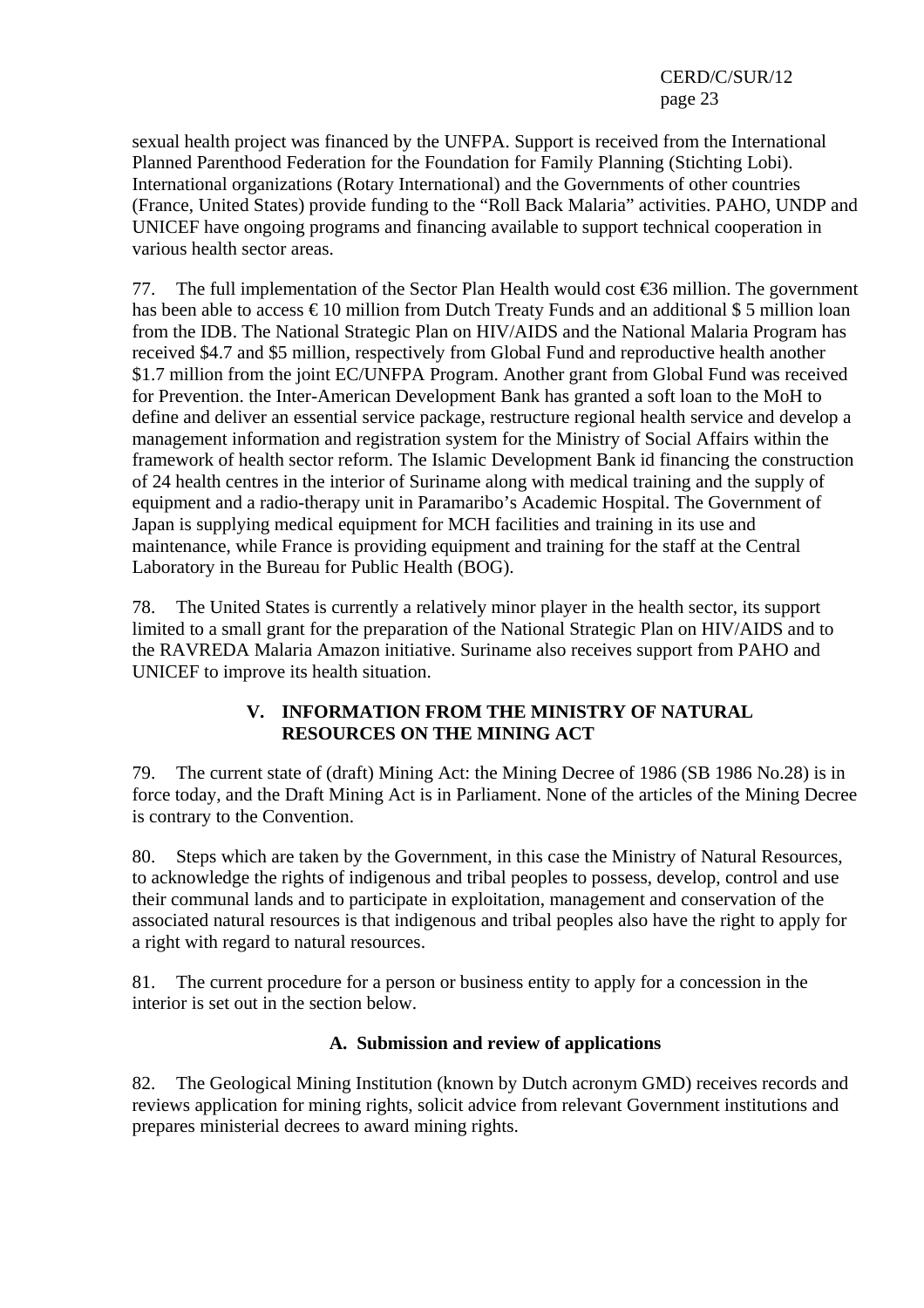sexual health project was financed by the UNFPA. Support is received from the International Planned Parenthood Federation for the Foundation for Family Planning (Stichting Lobi). International organizations (Rotary International) and the Governments of other countries (France, United States) provide funding to the "Roll Back Malaria" activities. PAHO, UNDP and UNICEF have ongoing programs and financing available to support technical cooperation in various health sector areas.

77. The full implementation of the Sector Plan Health would cost  $\epsilon$ 36 million. The government has been able to access  $\epsilon$  10 million from Dutch Treaty Funds and an additional \$ 5 million loan from the IDB. The National Strategic Plan on HIV/AIDS and the National Malaria Program has received \$4.7 and \$5 million, respectively from Global Fund and reproductive health another \$1.7 million from the joint EC/UNFPA Program. Another grant from Global Fund was received for Prevention. the Inter-American Development Bank has granted a soft loan to the MoH to define and deliver an essential service package, restructure regional health service and develop a management information and registration system for the Ministry of Social Affairs within the framework of health sector reform. The Islamic Development Bank id financing the construction of 24 health centres in the interior of Suriname along with medical training and the supply of equipment and a radio-therapy unit in Paramaribo's Academic Hospital. The Government of Japan is supplying medical equipment for MCH facilities and training in its use and maintenance, while France is providing equipment and training for the staff at the Central Laboratory in the Bureau for Public Health (BOG).

78. The United States is currently a relatively minor player in the health sector, its support limited to a small grant for the preparation of the National Strategic Plan on HIV/AIDS and to the RAVREDA Malaria Amazon initiative. Suriname also receives support from PAHO and UNICEF to improve its health situation.

## **V. INFORMATION FROM THE MINISTRY OF NATURAL RESOURCES ON THE MINING ACT**

79. The current state of (draft) Mining Act: the Mining Decree of 1986 (SB 1986 No.28) is in force today, and the Draft Mining Act is in Parliament. None of the articles of the Mining Decree is contrary to the Convention.

80. Steps which are taken by the Government, in this case the Ministry of Natural Resources, to acknowledge the rights of indigenous and tribal peoples to possess, develop, control and use their communal lands and to participate in exploitation, management and conservation of the associated natural resources is that indigenous and tribal peoples also have the right to apply for a right with regard to natural resources.

81. The current procedure for a person or business entity to apply for a concession in the interior is set out in the section below.

# **A. Submission and review of applications**

82. The Geological Mining Institution (known by Dutch acronym GMD) receives records and reviews application for mining rights, solicit advice from relevant Government institutions and prepares ministerial decrees to award mining rights.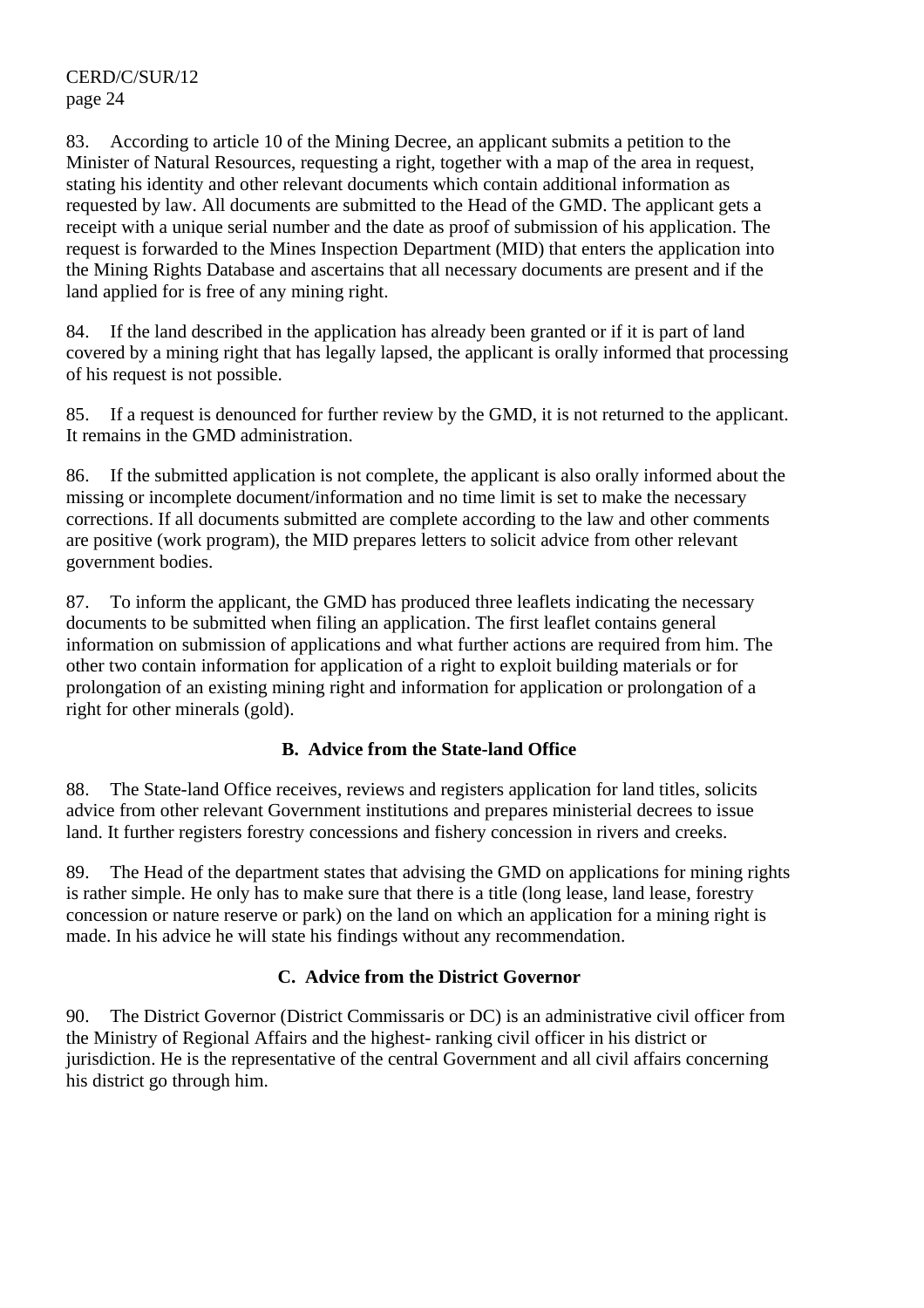83. According to article 10 of the Mining Decree, an applicant submits a petition to the Minister of Natural Resources, requesting a right, together with a map of the area in request, stating his identity and other relevant documents which contain additional information as requested by law. All documents are submitted to the Head of the GMD. The applicant gets a receipt with a unique serial number and the date as proof of submission of his application. The request is forwarded to the Mines Inspection Department (MID) that enters the application into the Mining Rights Database and ascertains that all necessary documents are present and if the land applied for is free of any mining right.

84. If the land described in the application has already been granted or if it is part of land covered by a mining right that has legally lapsed, the applicant is orally informed that processing of his request is not possible.

85. If a request is denounced for further review by the GMD, it is not returned to the applicant. It remains in the GMD administration.

86. If the submitted application is not complete, the applicant is also orally informed about the missing or incomplete document/information and no time limit is set to make the necessary corrections. If all documents submitted are complete according to the law and other comments are positive (work program), the MID prepares letters to solicit advice from other relevant government bodies.

87. To inform the applicant, the GMD has produced three leaflets indicating the necessary documents to be submitted when filing an application. The first leaflet contains general information on submission of applications and what further actions are required from him. The other two contain information for application of a right to exploit building materials or for prolongation of an existing mining right and information for application or prolongation of a right for other minerals (gold).

## **B. Advice from the State-land Office**

88. The State-land Office receives, reviews and registers application for land titles, solicits advice from other relevant Government institutions and prepares ministerial decrees to issue land. It further registers forestry concessions and fishery concession in rivers and creeks.

89. The Head of the department states that advising the GMD on applications for mining rights is rather simple. He only has to make sure that there is a title (long lease, land lease, forestry concession or nature reserve or park) on the land on which an application for a mining right is made. In his advice he will state his findings without any recommendation.

## **C. Advice from the District Governor**

90. The District Governor (District Commissaris or DC) is an administrative civil officer from the Ministry of Regional Affairs and the highest- ranking civil officer in his district or jurisdiction. He is the representative of the central Government and all civil affairs concerning his district go through him.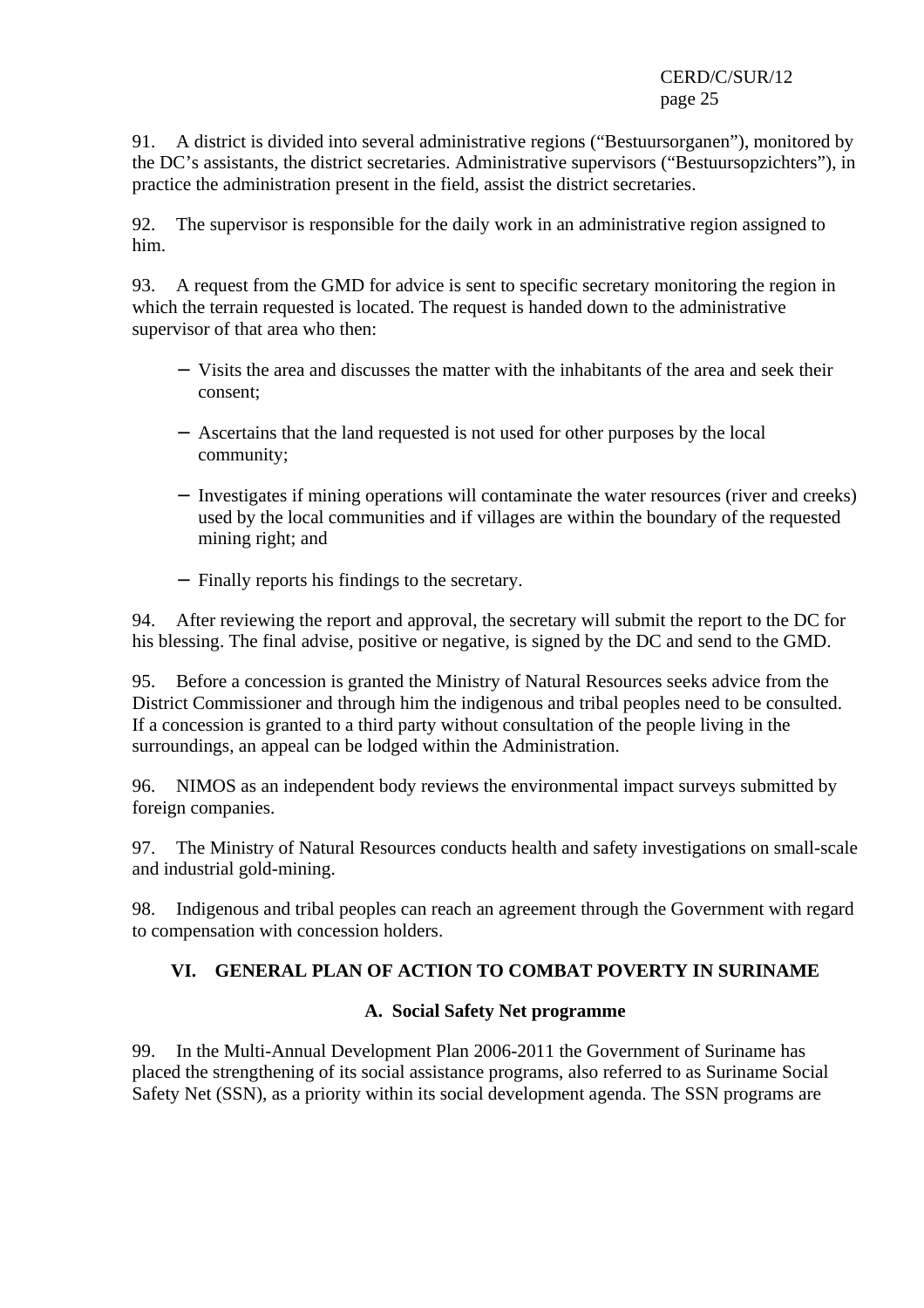91. A district is divided into several administrative regions ("Bestuursorganen"), monitored by the DC's assistants, the district secretaries. Administrative supervisors ("Bestuursopzichters"), in practice the administration present in the field, assist the district secretaries.

92. The supervisor is responsible for the daily work in an administrative region assigned to him.

93. A request from the GMD for advice is sent to specific secretary monitoring the region in which the terrain requested is located. The request is handed down to the administrative supervisor of that area who then:

- − Visits the area and discusses the matter with the inhabitants of the area and seek their consent;
- − Ascertains that the land requested is not used for other purposes by the local community;
- − Investigates if mining operations will contaminate the water resources (river and creeks) used by the local communities and if villages are within the boundary of the requested mining right; and
- − Finally reports his findings to the secretary.

94. After reviewing the report and approval, the secretary will submit the report to the DC for his blessing. The final advise, positive or negative, is signed by the DC and send to the GMD.

95. Before a concession is granted the Ministry of Natural Resources seeks advice from the District Commissioner and through him the indigenous and tribal peoples need to be consulted. If a concession is granted to a third party without consultation of the people living in the surroundings, an appeal can be lodged within the Administration.

96. NIMOS as an independent body reviews the environmental impact surveys submitted by foreign companies.

97. The Ministry of Natural Resources conducts health and safety investigations on small-scale and industrial gold-mining.

98. Indigenous and tribal peoples can reach an agreement through the Government with regard to compensation with concession holders.

# **VI. GENERAL PLAN OF ACTION TO COMBAT POVERTY IN SURINAME**

## **A. Social Safety Net programme**

99. In the Multi-Annual Development Plan 2006-2011 the Government of Suriname has placed the strengthening of its social assistance programs, also referred to as Suriname Social Safety Net (SSN), as a priority within its social development agenda. The SSN programs are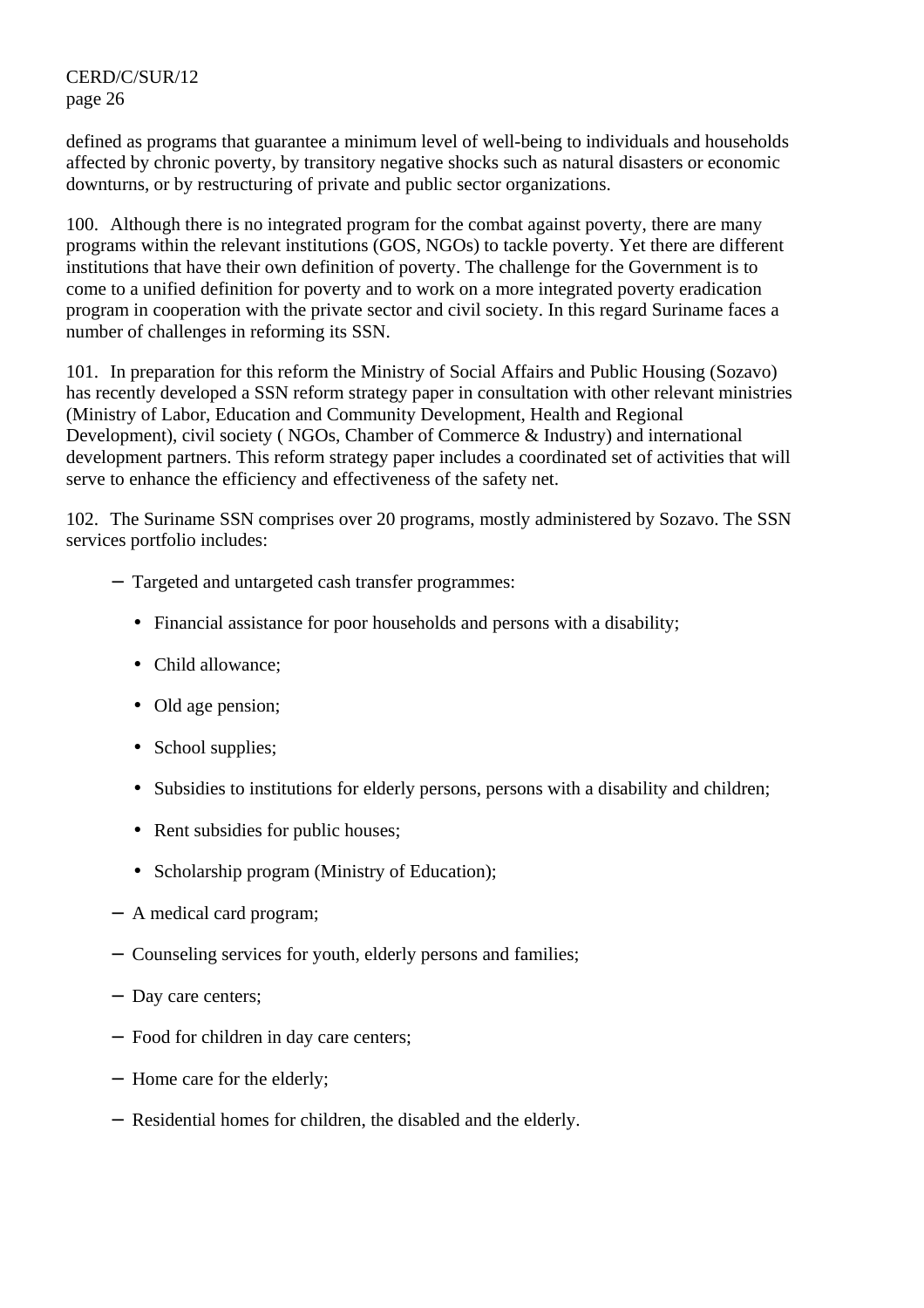defined as programs that guarantee a minimum level of well-being to individuals and households affected by chronic poverty, by transitory negative shocks such as natural disasters or economic downturns, or by restructuring of private and public sector organizations.

100. Although there is no integrated program for the combat against poverty, there are many programs within the relevant institutions (GOS, NGOs) to tackle poverty. Yet there are different institutions that have their own definition of poverty. The challenge for the Government is to come to a unified definition for poverty and to work on a more integrated poverty eradication program in cooperation with the private sector and civil society. In this regard Suriname faces a number of challenges in reforming its SSN.

101. In preparation for this reform the Ministry of Social Affairs and Public Housing (Sozavo) has recently developed a SSN reform strategy paper in consultation with other relevant ministries (Ministry of Labor, Education and Community Development, Health and Regional Development), civil society ( NGOs, Chamber of Commerce & Industry) and international development partners. This reform strategy paper includes a coordinated set of activities that will serve to enhance the efficiency and effectiveness of the safety net.

102. The Suriname SSN comprises over 20 programs, mostly administered by Sozavo. The SSN services portfolio includes:

- − Targeted and untargeted cash transfer programmes:
	- Financial assistance for poor households and persons with a disability:
	- Child allowance:
	- Old age pension:
	- School supplies;
	- Subsidies to institutions for elderly persons, persons with a disability and children;
	- Rent subsidies for public houses;
	- Scholarship program (Ministry of Education);
- − A medical card program;
- − Counseling services for youth, elderly persons and families;
- − Day care centers;
- − Food for children in day care centers;
- − Home care for the elderly;
- − Residential homes for children, the disabled and the elderly.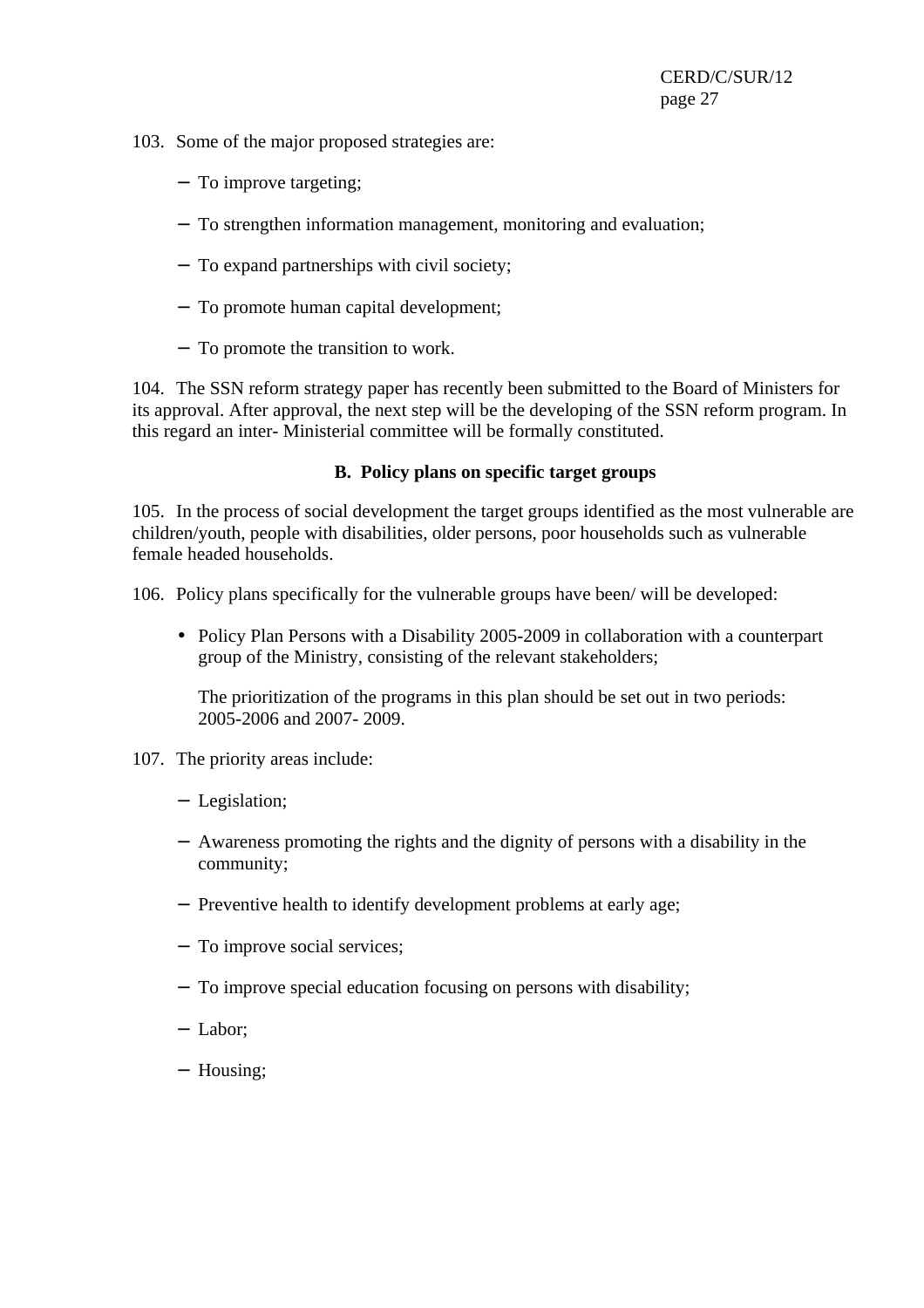- 103. Some of the major proposed strategies are:
	- − To improve targeting;
	- − To strengthen information management, monitoring and evaluation;
	- − To expand partnerships with civil society;
	- − To promote human capital development;
	- − To promote the transition to work.

104. The SSN reform strategy paper has recently been submitted to the Board of Ministers for its approval. After approval, the next step will be the developing of the SSN reform program. In this regard an inter- Ministerial committee will be formally constituted.

## **B. Policy plans on specific target groups**

105. In the process of social development the target groups identified as the most vulnerable are children/youth, people with disabilities, older persons, poor households such as vulnerable female headed households.

106. Policy plans specifically for the vulnerable groups have been/ will be developed:

• Policy Plan Persons with a Disability 2005-2009 in collaboration with a counterpart group of the Ministry, consisting of the relevant stakeholders;

The prioritization of the programs in this plan should be set out in two periods: 2005-2006 and 2007- 2009.

- 107. The priority areas include:
	- − Legislation;
	- − Awareness promoting the rights and the dignity of persons with a disability in the community;
	- − Preventive health to identify development problems at early age;
	- − To improve social services;
	- − To improve special education focusing on persons with disability;
	- − Labor;
	- − Housing;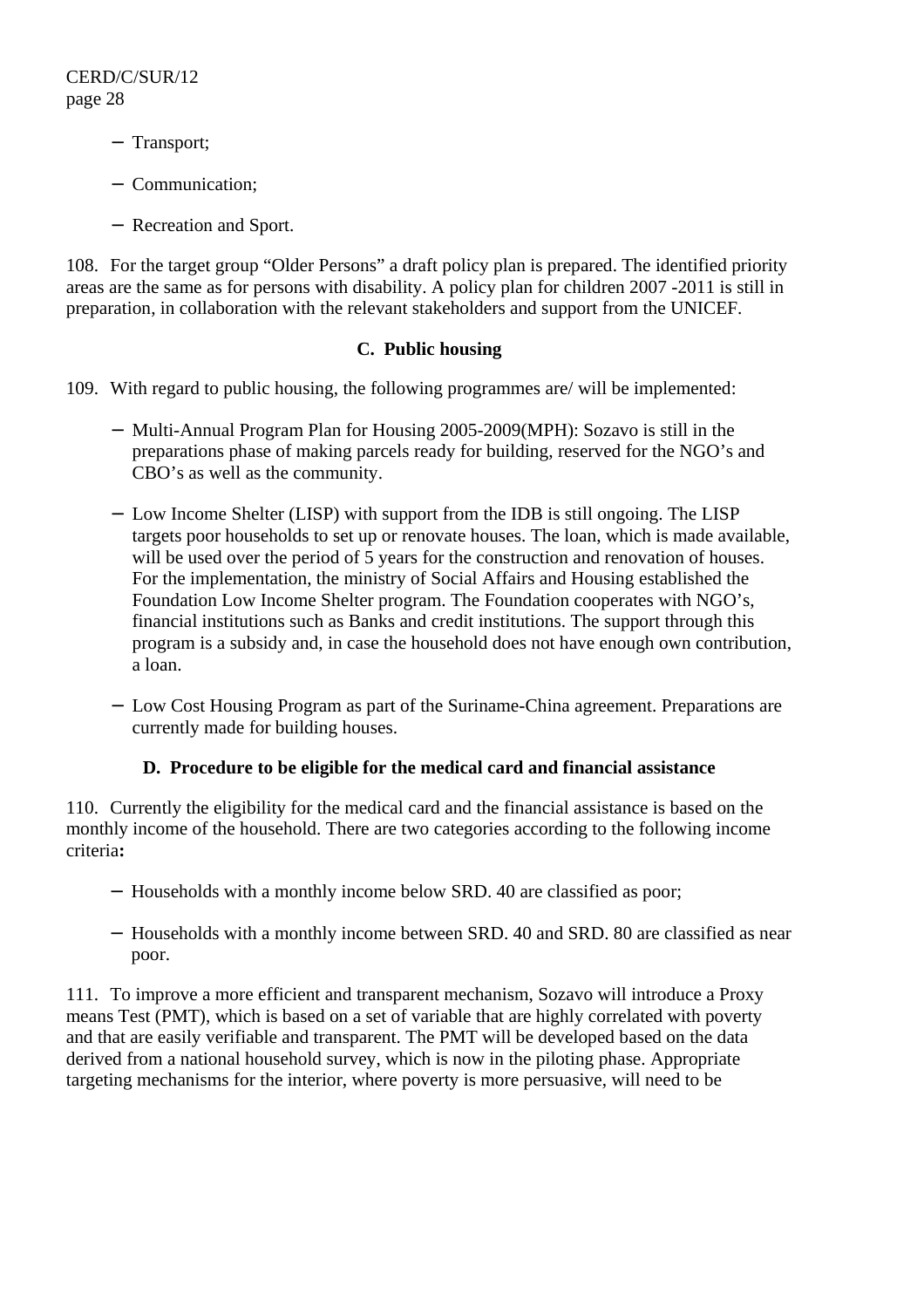- − Transport;
- − Communication;
- − Recreation and Sport.

108. For the target group "Older Persons" a draft policy plan is prepared. The identified priority areas are the same as for persons with disability. A policy plan for children 2007 -2011 is still in preparation, in collaboration with the relevant stakeholders and support from the UNICEF.

## **C. Public housing**

109. With regard to public housing, the following programmes are/ will be implemented:

- − Multi-Annual Program Plan for Housing 2005-2009(MPH): Sozavo is still in the preparations phase of making parcels ready for building, reserved for the NGO's and CBO's as well as the community.
- − Low Income Shelter (LISP) with support from the IDB is still ongoing. The LISP targets poor households to set up or renovate houses. The loan, which is made available, will be used over the period of 5 years for the construction and renovation of houses. For the implementation, the ministry of Social Affairs and Housing established the Foundation Low Income Shelter program. The Foundation cooperates with NGO's, financial institutions such as Banks and credit institutions. The support through this program is a subsidy and, in case the household does not have enough own contribution, a loan.
- − Low Cost Housing Program as part of the Suriname-China agreement. Preparations are currently made for building houses.

## **D. Procedure to be eligible for the medical card and financial assistance**

110. Currently the eligibility for the medical card and the financial assistance is based on the monthly income of the household. There are two categories according to the following income criteria**:** 

- − Households with a monthly income below SRD. 40 are classified as poor;
- − Households with a monthly income between SRD. 40 and SRD. 80 are classified as near poor.

111. To improve a more efficient and transparent mechanism, Sozavo will introduce a Proxy means Test (PMT), which is based on a set of variable that are highly correlated with poverty and that are easily verifiable and transparent. The PMT will be developed based on the data derived from a national household survey, which is now in the piloting phase. Appropriate targeting mechanisms for the interior, where poverty is more persuasive, will need to be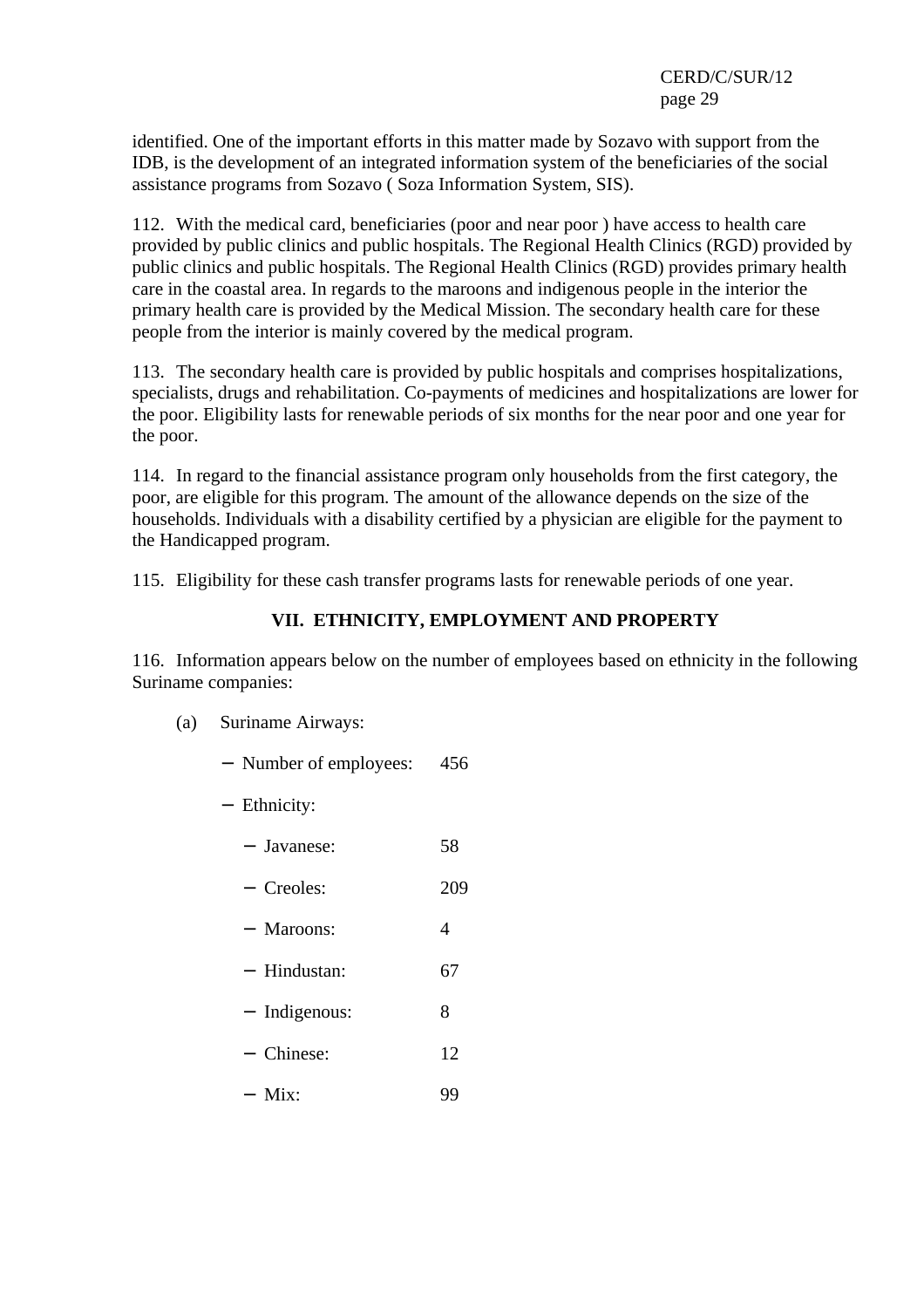identified. One of the important efforts in this matter made by Sozavo with support from the IDB, is the development of an integrated information system of the beneficiaries of the social assistance programs from Sozavo ( Soza Information System, SIS).

112. With the medical card, beneficiaries (poor and near poor ) have access to health care provided by public clinics and public hospitals. The Regional Health Clinics (RGD) provided by public clinics and public hospitals. The Regional Health Clinics (RGD) provides primary health care in the coastal area. In regards to the maroons and indigenous people in the interior the primary health care is provided by the Medical Mission. The secondary health care for these people from the interior is mainly covered by the medical program.

113. The secondary health care is provided by public hospitals and comprises hospitalizations, specialists, drugs and rehabilitation. Co-payments of medicines and hospitalizations are lower for the poor. Eligibility lasts for renewable periods of six months for the near poor and one year for the poor.

114. In regard to the financial assistance program only households from the first category, the poor, are eligible for this program. The amount of the allowance depends on the size of the households. Individuals with a disability certified by a physician are eligible for the payment to the Handicapped program.

115. Eligibility for these cash transfer programs lasts for renewable periods of one year.

## **VII. ETHNICITY, EMPLOYMENT AND PROPERTY**

116. Information appears below on the number of employees based on ethnicity in the following Suriname companies:

- (a) Suriname Airways:
	- − Number of employees: 456
	- − Ethnicity:
		- − Javanese: 58
		- − Creoles: 209
		- − Maroons: 4
		- − Hindustan: 67
		- − Indigenous: 8
		- − Chinese: 12
		- − Mix: 99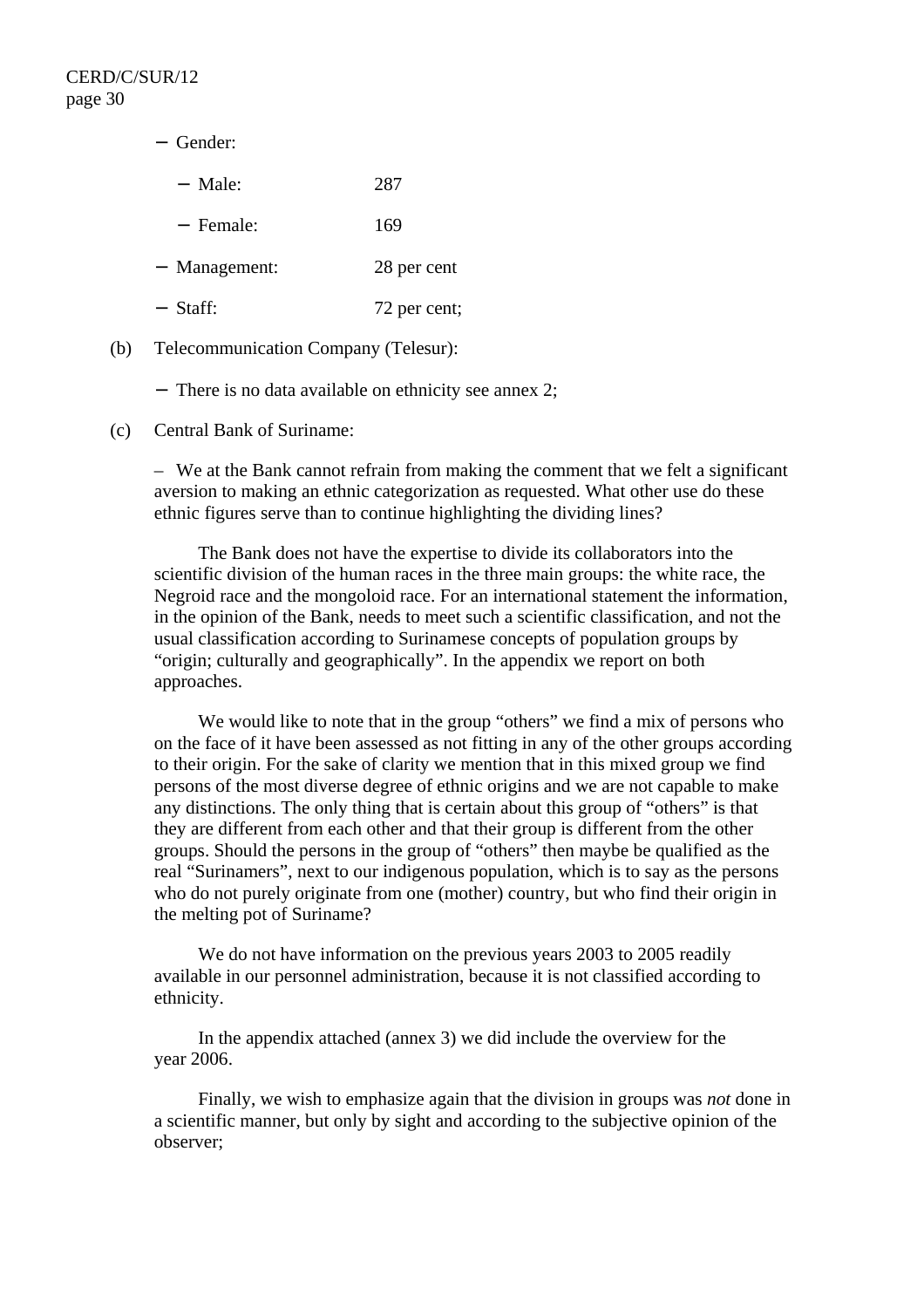| - Gender:     |              |
|---------------|--------------|
| - Male:       | 287          |
| - Female:     | 169          |
| - Management: | 28 per cent  |
| - Staff:      | 72 per cent; |
|               |              |

(b) Telecommunication Company (Telesur):

− There is no data available on ethnicity see annex 2;

(c) Central Bank of Suriname:

– We at the Bank cannot refrain from making the comment that we felt a significant aversion to making an ethnic categorization as requested. What other use do these ethnic figures serve than to continue highlighting the dividing lines?

 The Bank does not have the expertise to divide its collaborators into the scientific division of the human races in the three main groups: the white race, the Negroid race and the mongoloid race. For an international statement the information, in the opinion of the Bank, needs to meet such a scientific classification, and not the usual classification according to Surinamese concepts of population groups by "origin; culturally and geographically". In the appendix we report on both approaches.

We would like to note that in the group "others" we find a mix of persons who on the face of it have been assessed as not fitting in any of the other groups according to their origin. For the sake of clarity we mention that in this mixed group we find persons of the most diverse degree of ethnic origins and we are not capable to make any distinctions. The only thing that is certain about this group of "others" is that they are different from each other and that their group is different from the other groups. Should the persons in the group of "others" then maybe be qualified as the real "Surinamers", next to our indigenous population, which is to say as the persons who do not purely originate from one (mother) country, but who find their origin in the melting pot of Suriname?

 We do not have information on the previous years 2003 to 2005 readily available in our personnel administration, because it is not classified according to ethnicity.

 In the appendix attached (annex 3) we did include the overview for the year 2006.

 Finally, we wish to emphasize again that the division in groups was *not* done in a scientific manner, but only by sight and according to the subjective opinion of the observer;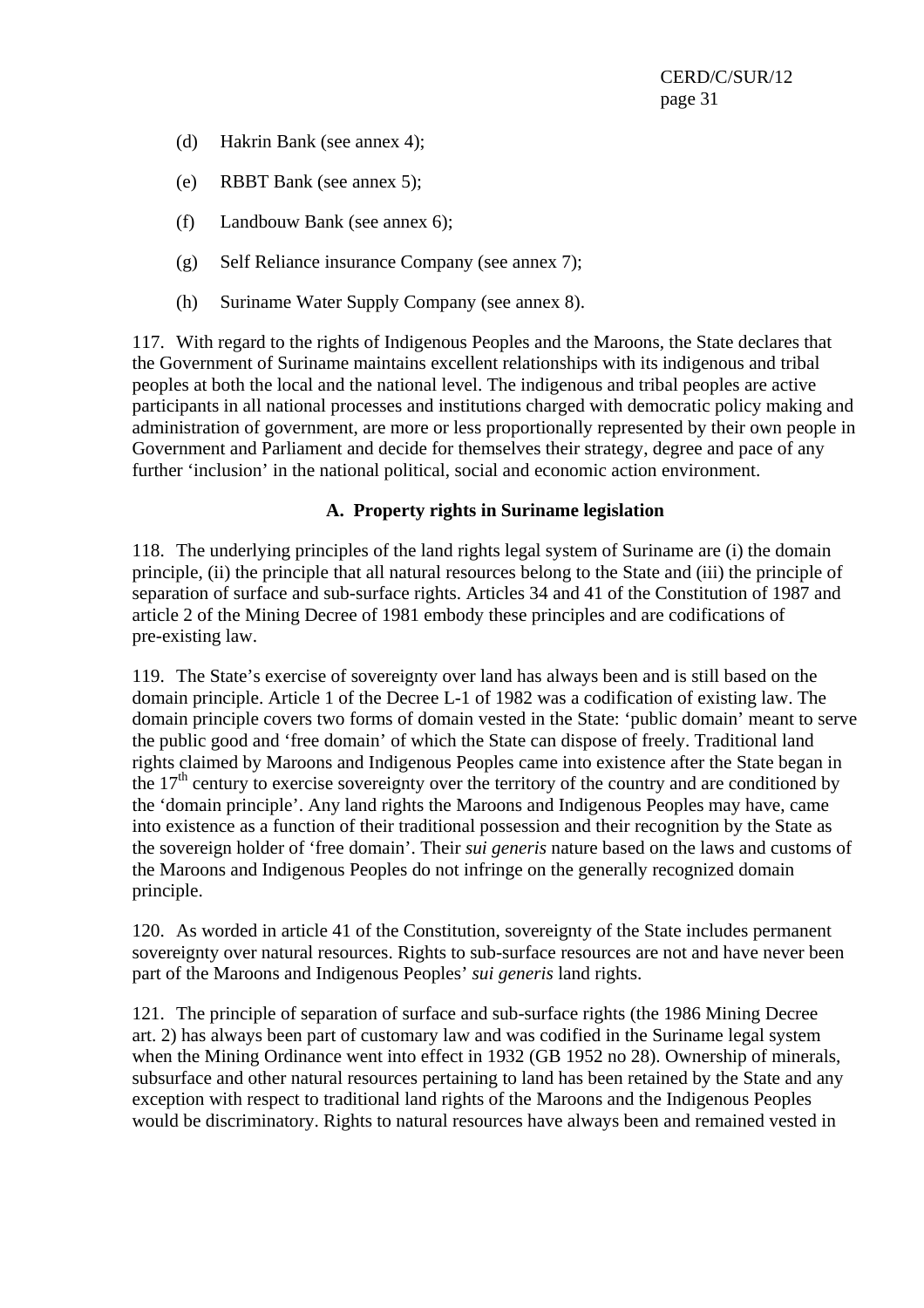- (d) Hakrin Bank (see annex 4);
- (e) RBBT Bank (see annex 5);
- (f) Landbouw Bank (see annex 6);
- (g) Self Reliance insurance Company (see annex 7);
- (h) Suriname Water Supply Company (see annex 8).

117. With regard to the rights of Indigenous Peoples and the Maroons, the State declares that the Government of Suriname maintains excellent relationships with its indigenous and tribal peoples at both the local and the national level. The indigenous and tribal peoples are active participants in all national processes and institutions charged with democratic policy making and administration of government, are more or less proportionally represented by their own people in Government and Parliament and decide for themselves their strategy, degree and pace of any further 'inclusion' in the national political, social and economic action environment.

## **A. Property rights in Suriname legislation**

118. The underlying principles of the land rights legal system of Suriname are (i) the domain principle, (ii) the principle that all natural resources belong to the State and (iii) the principle of separation of surface and sub-surface rights. Articles 34 and 41 of the Constitution of 1987 and article 2 of the Mining Decree of 1981 embody these principles and are codifications of pre-existing law.

119. The State's exercise of sovereignty over land has always been and is still based on the domain principle. Article 1 of the Decree L-1 of 1982 was a codification of existing law. The domain principle covers two forms of domain vested in the State: 'public domain' meant to serve the public good and 'free domain' of which the State can dispose of freely. Traditional land rights claimed by Maroons and Indigenous Peoples came into existence after the State began in the  $17<sup>th</sup>$  century to exercise sovereignty over the territory of the country and are conditioned by the 'domain principle'. Any land rights the Maroons and Indigenous Peoples may have, came into existence as a function of their traditional possession and their recognition by the State as the sovereign holder of 'free domain'. Their *sui generis* nature based on the laws and customs of the Maroons and Indigenous Peoples do not infringe on the generally recognized domain principle.

120. As worded in article 41 of the Constitution, sovereignty of the State includes permanent sovereignty over natural resources. Rights to sub-surface resources are not and have never been part of the Maroons and Indigenous Peoples' *sui generis* land rights.

121. The principle of separation of surface and sub-surface rights (the 1986 Mining Decree art. 2) has always been part of customary law and was codified in the Suriname legal system when the Mining Ordinance went into effect in 1932 (GB 1952 no 28). Ownership of minerals, subsurface and other natural resources pertaining to land has been retained by the State and any exception with respect to traditional land rights of the Maroons and the Indigenous Peoples would be discriminatory. Rights to natural resources have always been and remained vested in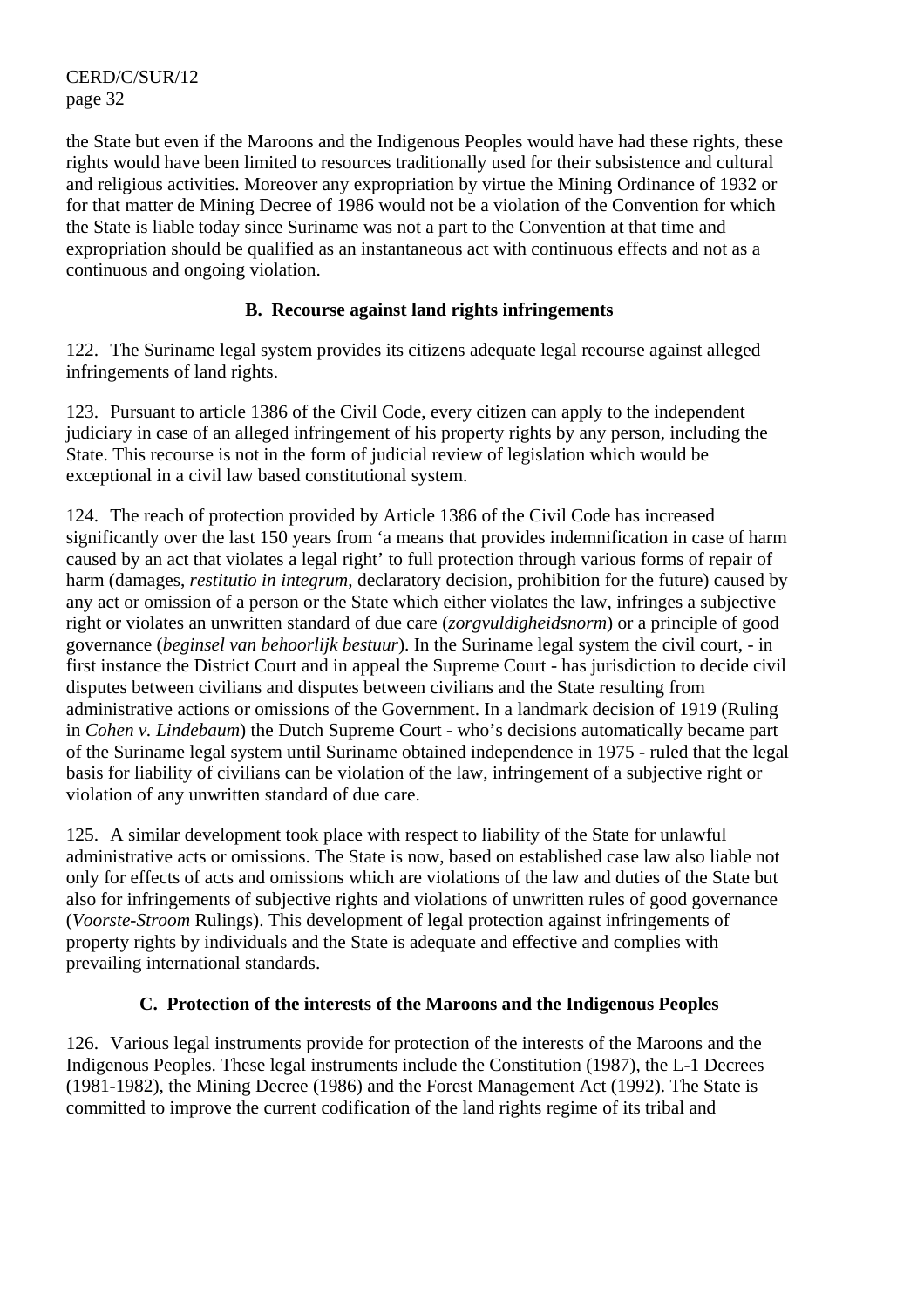the State but even if the Maroons and the Indigenous Peoples would have had these rights, these rights would have been limited to resources traditionally used for their subsistence and cultural and religious activities. Moreover any expropriation by virtue the Mining Ordinance of 1932 or for that matter de Mining Decree of 1986 would not be a violation of the Convention for which the State is liable today since Suriname was not a part to the Convention at that time and expropriation should be qualified as an instantaneous act with continuous effects and not as a continuous and ongoing violation.

## **B. Recourse against land rights infringements**

122. The Suriname legal system provides its citizens adequate legal recourse against alleged infringements of land rights.

123. Pursuant to article 1386 of the Civil Code, every citizen can apply to the independent judiciary in case of an alleged infringement of his property rights by any person, including the State. This recourse is not in the form of judicial review of legislation which would be exceptional in a civil law based constitutional system.

124. The reach of protection provided by Article 1386 of the Civil Code has increased significantly over the last 150 years from 'a means that provides indemnification in case of harm caused by an act that violates a legal right' to full protection through various forms of repair of harm (damages, *restitutio in integrum*, declaratory decision, prohibition for the future) caused by any act or omission of a person or the State which either violates the law, infringes a subjective right or violates an unwritten standard of due care (*zorgvuldigheidsnorm*) or a principle of good governance (*beginsel van behoorlijk bestuur*). In the Suriname legal system the civil court, - in first instance the District Court and in appeal the Supreme Court - has jurisdiction to decide civil disputes between civilians and disputes between civilians and the State resulting from administrative actions or omissions of the Government. In a landmark decision of 1919 (Ruling in *Cohen v. Lindebaum*) the Dutch Supreme Court - who's decisions automatically became part of the Suriname legal system until Suriname obtained independence in 1975 - ruled that the legal basis for liability of civilians can be violation of the law, infringement of a subjective right or violation of any unwritten standard of due care.

125. A similar development took place with respect to liability of the State for unlawful administrative acts or omissions. The State is now, based on established case law also liable not only for effects of acts and omissions which are violations of the law and duties of the State but also for infringements of subjective rights and violations of unwritten rules of good governance (*Voorste-Stroom* Rulings). This development of legal protection against infringements of property rights by individuals and the State is adequate and effective and complies with prevailing international standards.

## **C. Protection of the interests of the Maroons and the Indigenous Peoples**

126. Various legal instruments provide for protection of the interests of the Maroons and the Indigenous Peoples. These legal instruments include the Constitution (1987), the L-1 Decrees (1981-1982), the Mining Decree (1986) and the Forest Management Act (1992). The State is committed to improve the current codification of the land rights regime of its tribal and